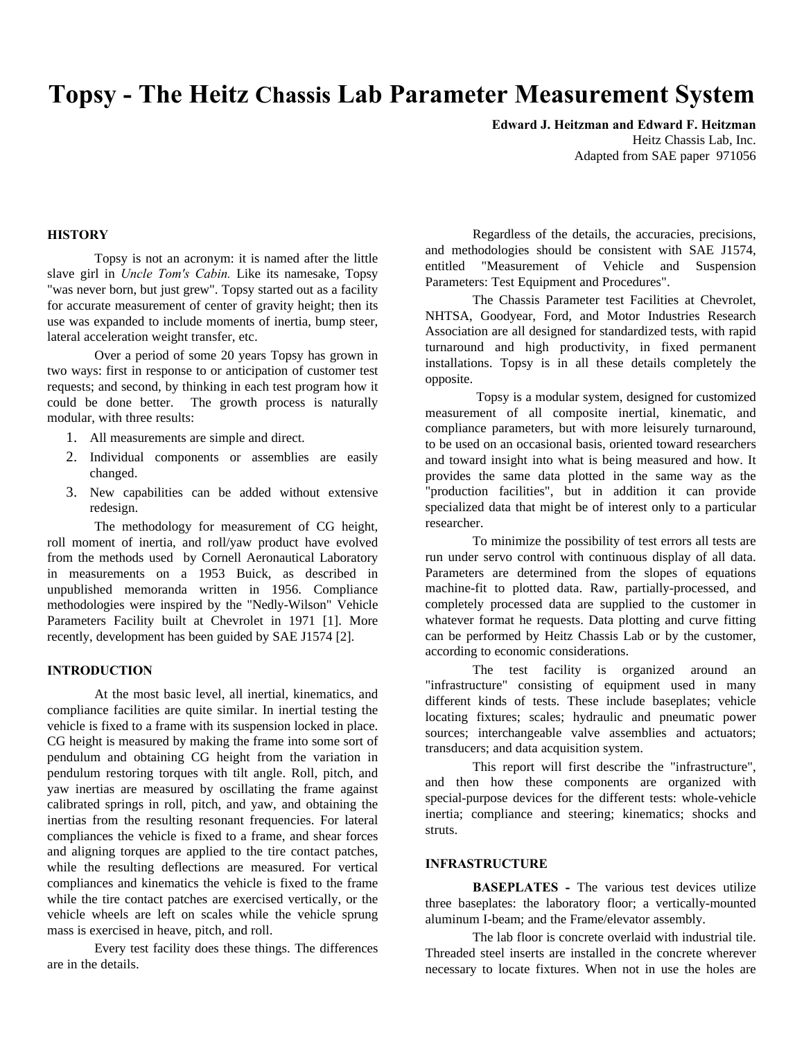# **Topsy - The Heitz Chassis Lab Parameter Measurement System**

**Edward J. Heitzman and Edward F. Heitzman** Heitz Chassis Lab, Inc. Adapted from SAE paper 971056

## **HISTORY**

Topsy is not an acronym: it is named after the little slave girl in *Uncle Tom's Cabin.* Like its namesake, Topsy "was never born, but just grew". Topsy started out as a facility for accurate measurement of center of gravity height; then its use was expanded to include moments of inertia, bump steer, lateral acceleration weight transfer, etc.

Over a period of some 20 years Topsy has grown in two ways: first in response to or anticipation of customer test requests; and second, by thinking in each test program how it could be done better. The growth process is naturally modular, with three results:

- 1. All measurements are simple and direct.
- 2. Individual components or assemblies are easily changed.
- 3. New capabilities can be added without extensive redesign.

The methodology for measurement of CG height, roll moment of inertia, and roll/yaw product have evolved from the methods used by Cornell Aeronautical Laboratory in measurements on a 1953 Buick, as described in unpublished memoranda written in 1956. Compliance methodologies were inspired by the "Nedly-Wilson" Vehicle Parameters Facility built at Chevrolet in 1971 [1]. More recently, development has been guided by SAE J1574 [2].

## **INTRODUCTION**

At the most basic level, all inertial, kinematics, and compliance facilities are quite similar. In inertial testing the vehicle is fixed to a frame with its suspension locked in place. CG height is measured by making the frame into some sort of pendulum and obtaining CG height from the variation in pendulum restoring torques with tilt angle. Roll, pitch, and yaw inertias are measured by oscillating the frame against calibrated springs in roll, pitch, and yaw, and obtaining the inertias from the resulting resonant frequencies. For lateral compliances the vehicle is fixed to a frame, and shear forces and aligning torques are applied to the tire contact patches, while the resulting deflections are measured. For vertical compliances and kinematics the vehicle is fixed to the frame while the tire contact patches are exercised vertically, or the vehicle wheels are left on scales while the vehicle sprung mass is exercised in heave, pitch, and roll.

Every test facility does these things. The differences are in the details.

Regardless of the details, the accuracies, precisions, and methodologies should be consistent with SAE J1574, entitled "Measurement of Vehicle and Suspension Parameters: Test Equipment and Procedures".

The Chassis Parameter test Facilities at Chevrolet, NHTSA, Goodyear, Ford, and Motor Industries Research Association are all designed for standardized tests, with rapid turnaround and high productivity, in fixed permanent installations. Topsy is in all these details completely the opposite.

 Topsy is a modular system, designed for customized measurement of all composite inertial, kinematic, and compliance parameters, but with more leisurely turnaround, to be used on an occasional basis, oriented toward researchers and toward insight into what is being measured and how. It provides the same data plotted in the same way as the "production facilities", but in addition it can provide specialized data that might be of interest only to a particular researcher.

To minimize the possibility of test errors all tests are run under servo control with continuous display of all data. Parameters are determined from the slopes of equations machine-fit to plotted data. Raw, partially-processed, and completely processed data are supplied to the customer in whatever format he requests. Data plotting and curve fitting can be performed by Heitz Chassis Lab or by the customer, according to economic considerations.

The test facility is organized around an "infrastructure" consisting of equipment used in many different kinds of tests. These include baseplates; vehicle locating fixtures; scales; hydraulic and pneumatic power sources; interchangeable valve assemblies and actuators; transducers; and data acquisition system.

This report will first describe the "infrastructure", and then how these components are organized with special-purpose devices for the different tests: whole-vehicle inertia; compliance and steering; kinematics; shocks and struts.

#### **INFRASTRUCTURE**

**BASEPLATES -** The various test devices utilize three baseplates: the laboratory floor; a vertically-mounted aluminum I-beam; and the Frame/elevator assembly.

The lab floor is concrete overlaid with industrial tile. Threaded steel inserts are installed in the concrete wherever necessary to locate fixtures. When not in use the holes are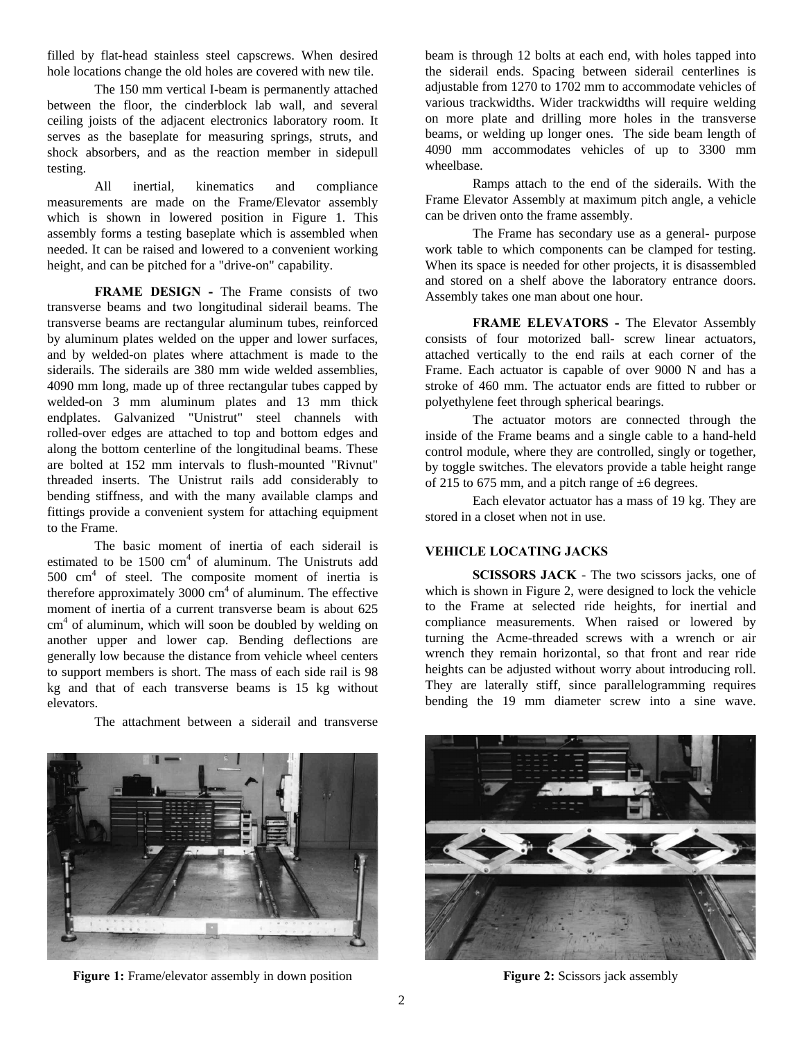filled by flat-head stainless steel capscrews. When desired hole locations change the old holes are covered with new tile.

The 150 mm vertical I-beam is permanently attached between the floor, the cinderblock lab wall, and several ceiling joists of the adjacent electronics laboratory room. It serves as the baseplate for measuring springs, struts, and shock absorbers, and as the reaction member in sidepull testing.

All inertial, kinematics and compliance measurements are made on the Frame/Elevator assembly which is shown in lowered position in Figure 1. This assembly forms a testing baseplate which is assembled when needed. It can be raised and lowered to a convenient working height, and can be pitched for a "drive-on" capability.

**FRAME DESIGN - The Frame consists of two** transverse beams and two longitudinal siderail beams. The transverse beams are rectangular aluminum tubes, reinforced by aluminum plates welded on the upper and lower surfaces, and by welded-on plates where attachment is made to the siderails. The siderails are 380 mm wide welded assemblies, 4090 mm long, made up of three rectangular tubes capped by welded-on 3 mm aluminum plates and 13 mm thick endplates. Galvanized "Unistrut" steel channels with rolled-over edges are attached to top and bottom edges and along the bottom centerline of the longitudinal beams. These are bolted at 152 mm intervals to flush-mounted "Rivnut" threaded inserts. The Unistrut rails add considerably to bending stiffness, and with the many available clamps and fittings provide a convenient system for attaching equipment to the Frame.

The basic moment of inertia of each siderail is estimated to be  $1500 \text{ cm}^4$  of aluminum. The Unistruts add 500 cm<sup>4</sup> of steel. The composite moment of inertia is therefore approximately  $3000 \text{ cm}^4$  of aluminum. The effective moment of inertia of a current transverse beam is about 625 cm<sup>4</sup> of aluminum, which will soon be doubled by welding on another upper and lower cap. Bending deflections are generally low because the distance from vehicle wheel centers to support members is short. The mass of each side rail is 98 kg and that of each transverse beams is 15 kg without elevators.

The attachment between a siderail and transverse

beam is through 12 bolts at each end, with holes tapped into the siderail ends. Spacing between siderail centerlines is adjustable from 1270 to 1702 mm to accommodate vehicles of various trackwidths. Wider trackwidths will require welding on more plate and drilling more holes in the transverse beams, or welding up longer ones. The side beam length of 4090 mm accommodates vehicles of up to 3300 mm wheelbase.

Ramps attach to the end of the siderails. With the Frame Elevator Assembly at maximum pitch angle, a vehicle can be driven onto the frame assembly.

The Frame has secondary use as a general- purpose work table to which components can be clamped for testing. When its space is needed for other projects, it is disassembled and stored on a shelf above the laboratory entrance doors. Assembly takes one man about one hour.

**FRAME ELEVATORS -** The Elevator Assembly consists of four motorized ball- screw linear actuators, attached vertically to the end rails at each corner of the Frame. Each actuator is capable of over 9000 N and has a stroke of 460 mm. The actuator ends are fitted to rubber or polyethylene feet through spherical bearings.

The actuator motors are connected through the inside of the Frame beams and a single cable to a hand-held control module, where they are controlled, singly or together, by toggle switches. The elevators provide a table height range of 215 to 675 mm, and a pitch range of  $\pm$ 6 degrees.

Each elevator actuator has a mass of 19 kg. They are stored in a closet when not in use.

# **VEHICLE LOCATING JACKS**

**SCISSORS JACK** - The two scissors jacks, one of which is shown in Figure 2, were designed to lock the vehicle to the Frame at selected ride heights, for inertial and compliance measurements. When raised or lowered by turning the Acme-threaded screws with a wrench or air wrench they remain horizontal, so that front and rear ride heights can be adjusted without worry about introducing roll. They are laterally stiff, since parallelogramming requires bending the 19 mm diameter screw into a sine wave.



**Figure 1:** Frame/elevator assembly in down position **Figure 2:** Scissors jack assembly

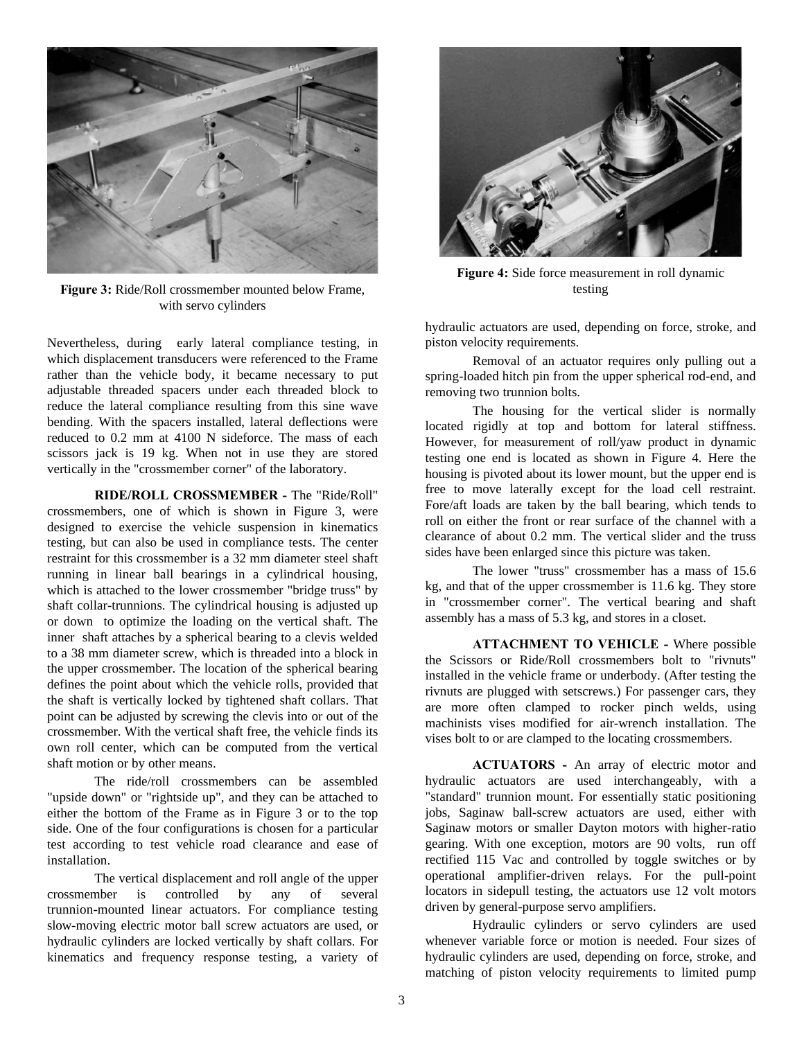

**Figure 3:** Ride/Roll crossmember mounted below Frame, with servo cylinders

Nevertheless, during early lateral compliance testing, in which displacement transducers were referenced to the Frame rather than the vehicle body, it became necessary to put adjustable threaded spacers under each threaded block to reduce the lateral compliance resulting from this sine wave bending. With the spacers installed, lateral deflections were reduced to 0.2 mm at 4100 N sideforce. The mass of each scissors jack is 19 kg. When not in use they are stored vertically in the "crossmember corner" of the laboratory.

**RIDE/ROLL CROSSMEMBER -** The "Ride/Roll" crossmembers, one of which is shown in Figure 3, were designed to exercise the vehicle suspension in kinematics testing, but can also be used in compliance tests. The center restraint for this crossmember is a 32 mm diameter steel shaft running in linear ball bearings in a cylindrical housing, which is attached to the lower crossmember "bridge truss" by shaft collar-trunnions. The cylindrical housing is adjusted up or down to optimize the loading on the vertical shaft. The inner shaft attaches by a spherical bearing to a clevis welded to a 38 mm diameter screw, which is threaded into a block in the upper crossmember. The location of the spherical bearing defines the point about which the vehicle rolls, provided that the shaft is vertically locked by tightened shaft collars. That point can be adjusted by screwing the clevis into or out of the crossmember. With the vertical shaft free, the vehicle finds its own roll center, which can be computed from the vertical shaft motion or by other means.

The ride/roll crossmembers can be assembled "upside down" or "rightside up", and they can be attached to either the bottom of the Frame as in Figure 3 or to the top side. One of the four configurations is chosen for a particular test according to test vehicle road clearance and ease of installation.

The vertical displacement and roll angle of the upper crossmember is controlled by any of several trunnion-mounted linear actuators. For compliance testing slow-moving electric motor ball screw actuators are used, or hydraulic cylinders are locked vertically by shaft collars. For kinematics and frequency response testing, a variety of



**Figure 4:** Side force measurement in roll dynamic testing

hydraulic actuators are used, depending on force, stroke, and piston velocity requirements.

Removal of an actuator requires only pulling out a spring-loaded hitch pin from the upper spherical rod-end, and removing two trunnion bolts.

The housing for the vertical slider is normally located rigidly at top and bottom for lateral stiffness. However, for measurement of roll/yaw product in dynamic testing one end is located as shown in Figure 4. Here the housing is pivoted about its lower mount, but the upper end is free to move laterally except for the load cell restraint. Fore/aft loads are taken by the ball bearing, which tends to roll on either the front or rear surface of the channel with a clearance of about 0.2 mm. The vertical slider and the truss sides have been enlarged since this picture was taken.

The lower "truss" crossmember has a mass of 15.6 kg, and that of the upper crossmember is 11.6 kg. They store in "crossmember corner". The vertical bearing and shaft assembly has a mass of 5.3 kg, and stores in a closet.

**ATTACHMENT TO VEHICLE -** Where possible the Scissors or Ride/Roll crossmembers bolt to "rivnuts" installed in the vehicle frame or underbody. (After testing the rivnuts are plugged with setscrews.) For passenger cars, they are more often clamped to rocker pinch welds, using machinists vises modified for air-wrench installation. The vises bolt to or are clamped to the locating crossmembers.

**ACTUATORS -** An array of electric motor and hydraulic actuators are used interchangeably, with a "standard" trunnion mount. For essentially static positioning jobs, Saginaw ball-screw actuators are used, either with Saginaw motors or smaller Dayton motors with higher-ratio gearing. With one exception, motors are 90 volts, run off rectified 115 Vac and controlled by toggle switches or by operational amplifier-driven relays. For the pull-point locators in sidepull testing, the actuators use 12 volt motors driven by general-purpose servo amplifiers.

Hydraulic cylinders or servo cylinders are used whenever variable force or motion is needed. Four sizes of hydraulic cylinders are used, depending on force, stroke, and matching of piston velocity requirements to limited pump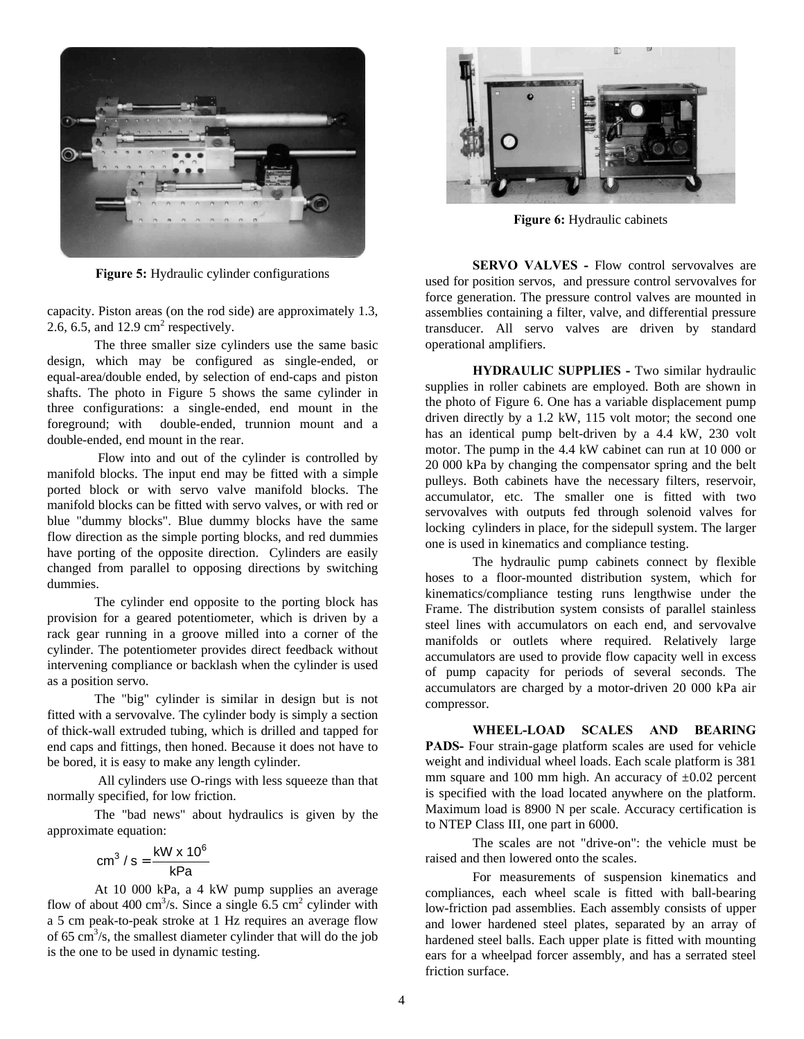

**Figure 5:** Hydraulic cylinder configurations

capacity. Piston areas (on the rod side) are approximately 1.3, 2.6, 6.5, and 12.9  $\text{cm}^2$  respectively.

The three smaller size cylinders use the same basic design, which may be configured as single-ended, or equal-area/double ended, by selection of end-caps and piston shafts. The photo in Figure 5 shows the same cylinder in three configurations: a single-ended, end mount in the foreground; with double-ended, trunnion mount and a double-ended, end mount in the rear.

 Flow into and out of the cylinder is controlled by manifold blocks. The input end may be fitted with a simple ported block or with servo valve manifold blocks. The manifold blocks can be fitted with servo valves, or with red or blue "dummy blocks". Blue dummy blocks have the same flow direction as the simple porting blocks, and red dummies have porting of the opposite direction. Cylinders are easily changed from parallel to opposing directions by switching dummies.

The cylinder end opposite to the porting block has provision for a geared potentiometer, which is driven by a rack gear running in a groove milled into a corner of the cylinder. The potentiometer provides direct feedback without intervening compliance or backlash when the cylinder is used as a position servo.

The "big" cylinder is similar in design but is not fitted with a servovalve. The cylinder body is simply a section of thick-wall extruded tubing, which is drilled and tapped for end caps and fittings, then honed. Because it does not have to be bored, it is easy to make any length cylinder.

 All cylinders use O-rings with less squeeze than that normally specified, for low friction.

The "bad news" about hydraulics is given by the approximate equation:

$$
cm^3 / s = \frac{kW \times 10^6}{kPa}
$$

At 10 000 kPa, a 4 kW pump supplies an average flow of about 400 cm<sup>3</sup>/s. Since a single 6.5 cm<sup>2</sup> cylinder with a 5 cm peak-to-peak stroke at 1 Hz requires an average flow of 65 cm<sup>3</sup>/s, the smallest diameter cylinder that will do the job is the one to be used in dynamic testing.



**Figure 6:** Hydraulic cabinets

**SERVO VALVES - Flow control servovalves are** used for position servos, and pressure control servovalves for force generation. The pressure control valves are mounted in assemblies containing a filter, valve, and differential pressure transducer. All servo valves are driven by standard operational amplifiers.

**HYDRAULIC SUPPLIES -** Two similar hydraulic supplies in roller cabinets are employed. Both are shown in the photo of Figure 6. One has a variable displacement pump driven directly by a 1.2 kW, 115 volt motor; the second one has an identical pump belt-driven by a 4.4 kW, 230 volt motor. The pump in the 4.4 kW cabinet can run at 10 000 or 20 000 kPa by changing the compensator spring and the belt pulleys. Both cabinets have the necessary filters, reservoir, accumulator, etc. The smaller one is fitted with two servovalves with outputs fed through solenoid valves for locking cylinders in place, for the sidepull system. The larger one is used in kinematics and compliance testing.

The hydraulic pump cabinets connect by flexible hoses to a floor-mounted distribution system, which for kinematics/compliance testing runs lengthwise under the Frame. The distribution system consists of parallel stainless steel lines with accumulators on each end, and servovalve manifolds or outlets where required. Relatively large accumulators are used to provide flow capacity well in excess of pump capacity for periods of several seconds. The accumulators are charged by a motor-driven 20 000 kPa air compressor.

**WHEEL-LOAD SCALES AND BEARING** PADS- Four strain-gage platform scales are used for vehicle weight and individual wheel loads. Each scale platform is 381 mm square and 100 mm high. An accuracy of  $\pm 0.02$  percent is specified with the load located anywhere on the platform. Maximum load is 8900 N per scale. Accuracy certification is to NTEP Class III, one part in 6000.

The scales are not "drive-on": the vehicle must be raised and then lowered onto the scales.

For measurements of suspension kinematics and compliances, each wheel scale is fitted with ball-bearing low-friction pad assemblies. Each assembly consists of upper and lower hardened steel plates, separated by an array of hardened steel balls. Each upper plate is fitted with mounting ears for a wheelpad forcer assembly, and has a serrated steel friction surface.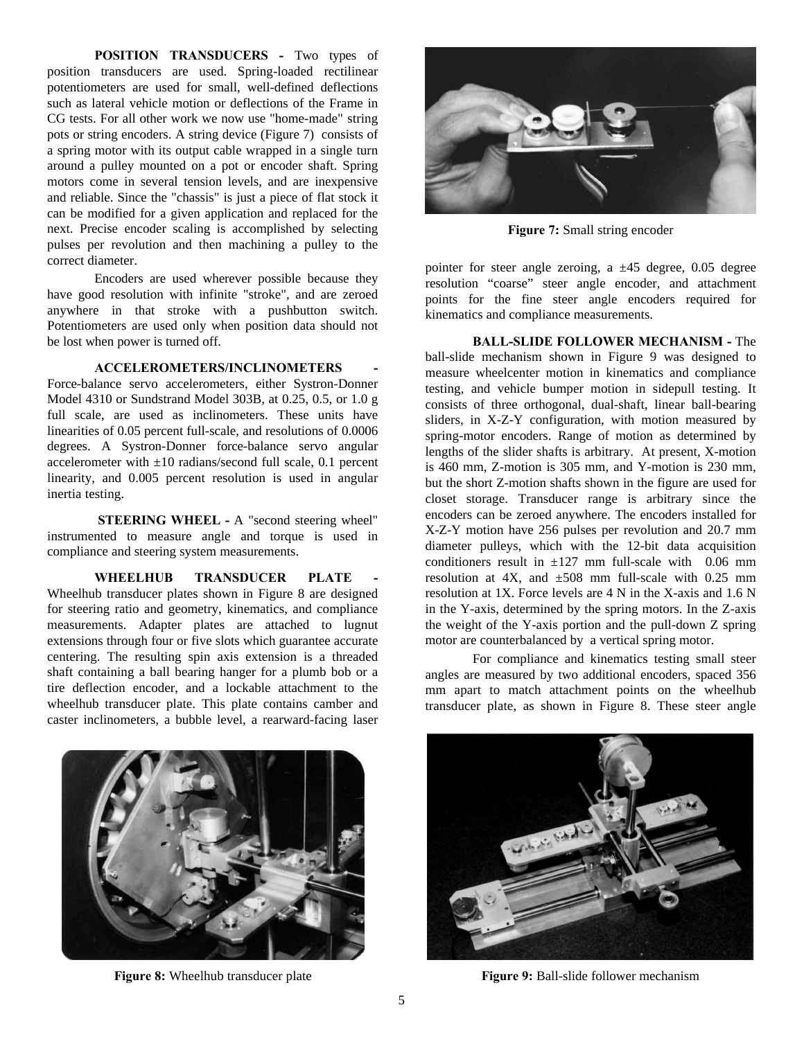**POSITION TRANSDUCERS -** Two types of position transducers are used. Spring-loaded rectilinear potentiometers are used for small, well-defined deflections such as lateral vehicle motion or deflections of the Frame in CG tests. For all other work we now use "home-made" string pots or string encoders. A string device (Figure 7) consists of a spring motor with its output cable wrapped in a single turn around a pulley mounted on a pot or encoder shaft. Spring motors come in several tension levels, and are inexpensive and reliable. Since the "chassis" is just a piece of flat stock it can be modified for a given application and replaced for the next. Precise encoder scaling is accomplished by selecting pulses per revolution and then machining a pulley to the correct diameter.

Encoders are used wherever possible because they have good resolution with infinite "stroke", and are zeroed anywhere in that stroke with a pushbutton switch. Potentiometers are used only when position data should not be lost when power is turned off.

# **ACCELEROMETERS/INCLINOMETERS -**

Force-balance servo accelerometers, either Systron-Donner Model 4310 or Sundstrand Model 303B, at 0.25, 0.5, or 1.0 g full scale, are used as inclinometers. These units have linearities of 0.05 percent full-scale, and resolutions of 0.0006 degrees. A Systron-Donner force-balance servo angular accelerometer with  $\pm 10$  radians/second full scale, 0.1 percent linearity, and 0.005 percent resolution is used in angular inertia testing.

**STEERING WHEEL -** A "second steering wheel" instrumented to measure angle and torque is used in compliance and steering system measurements.

WHEELHUB TRANSDUCER PLATE Wheelhub transducer plates shown in Figure 8 are designed for steering ratio and geometry, kinematics, and compliance measurements. Adapter plates are attached to lugnut extensions through four or five slots which guarantee accurate centering. The resulting spin axis extension is a threaded shaft containing a ball bearing hanger for a plumb bob or a tire deflection encoder, and a lockable attachment to the wheelhub transducer plate. This plate contains camber and caster inclinometers, a bubble level, a rearward-facing laser



**Figure 7:** Small string encoder

pointer for steer angle zeroing, a  $\pm 45$  degree, 0.05 degree resolution "coarse" steer angle encoder, and attachment points for the fine steer angle encoders required for kinematics and compliance measurements.

**BALL-SLIDE FOLLOWER MECHANISM -** The ball-slide mechanism shown in Figure 9 was designed to measure wheelcenter motion in kinematics and compliance testing, and vehicle bumper motion in sidepull testing. It consists of three orthogonal, dual-shaft, linear ball-bearing sliders, in X-Z-Y configuration, with motion measured by spring-motor encoders. Range of motion as determined by lengths of the slider shafts is arbitrary. At present, X-motion is 460 mm, Z-motion is 305 mm, and Y-motion is 230 mm, but the short Z-motion shafts shown in the figure are used for closet storage. Transducer range is arbitrary since the encoders can be zeroed anywhere. The encoders installed for X-Z-Y motion have 256 pulses per revolution and 20.7 mm diameter pulleys, which with the 12-bit data acquisition conditioners result in  $\pm 127$  mm full-scale with 0.06 mm resolution at 4X, and  $\pm 508$  mm full-scale with 0.25 mm resolution at 1X. Force levels are 4 N in the X-axis and 1.6 N in the Y-axis, determined by the spring motors. In the Z-axis the weight of the Y-axis portion and the pull-down Z spring motor are counterbalanced by a vertical spring motor.

For compliance and kinematics testing small steer angles are measured by two additional encoders, spaced 356 mm apart to match attachment points on the wheelhub transducer plate, as shown in Figure 8. These steer angle





**Figure 8:** Wheelhub transducer plate **Figure 9: Figure 9:** Ball-slide follower mechanism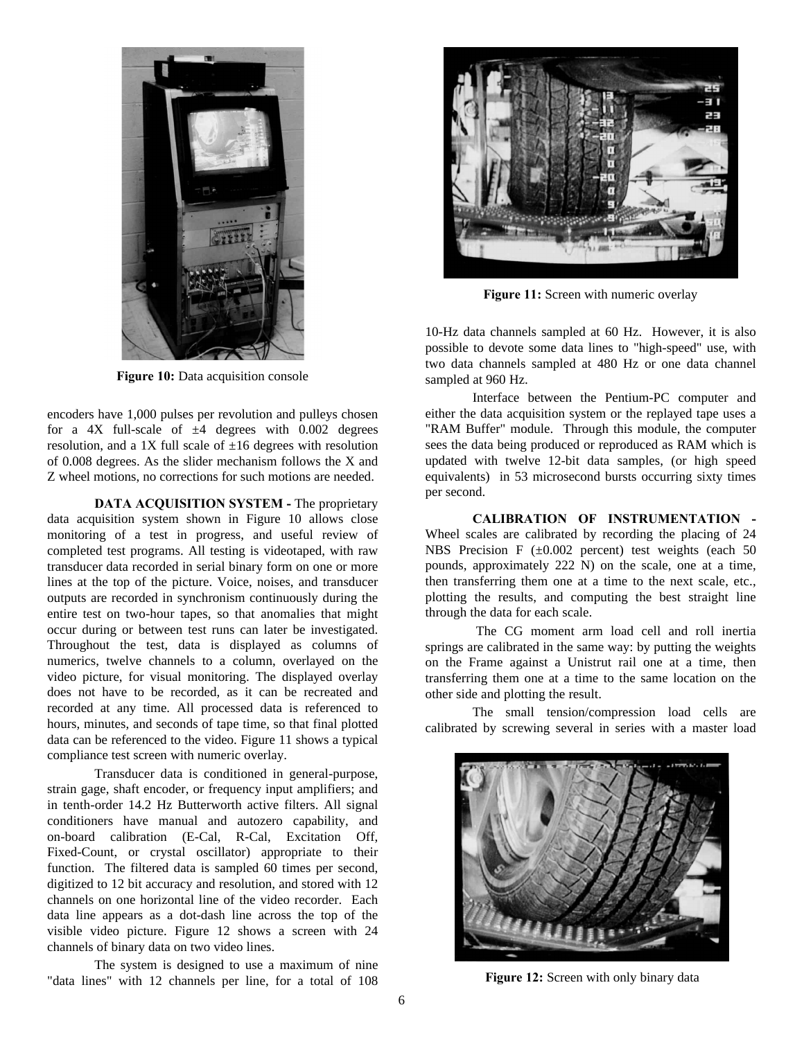

**Figure 10:** Data acquisition console

encoders have 1,000 pulses per revolution and pulleys chosen for a 4X full-scale of  $\pm 4$  degrees with 0.002 degrees resolution, and a 1X full scale of  $\pm 16$  degrees with resolution of 0.008 degrees. As the slider mechanism follows the X and Z wheel motions, no corrections for such motions are needed.

**DATA ACQUISITION SYSTEM - The proprietary** data acquisition system shown in Figure 10 allows close monitoring of a test in progress, and useful review of completed test programs. All testing is videotaped, with raw transducer data recorded in serial binary form on one or more lines at the top of the picture. Voice, noises, and transducer outputs are recorded in synchronism continuously during the entire test on two-hour tapes, so that anomalies that might occur during or between test runs can later be investigated. Throughout the test, data is displayed as columns of numerics, twelve channels to a column, overlayed on the video picture, for visual monitoring. The displayed overlay does not have to be recorded, as it can be recreated and recorded at any time. All processed data is referenced to hours, minutes, and seconds of tape time, so that final plotted data can be referenced to the video. Figure 11 shows a typical compliance test screen with numeric overlay.

Transducer data is conditioned in general-purpose, strain gage, shaft encoder, or frequency input amplifiers; and in tenth-order 14.2 Hz Butterworth active filters. All signal conditioners have manual and autozero capability, and on-board calibration (E-Cal, R-Cal, Excitation Off, Fixed-Count, or crystal oscillator) appropriate to their function. The filtered data is sampled 60 times per second, digitized to 12 bit accuracy and resolution, and stored with 12 channels on one horizontal line of the video recorder. Each data line appears as a dot-dash line across the top of the visible video picture. Figure 12 shows a screen with 24 channels of binary data on two video lines.

The system is designed to use a maximum of nine "data lines" with 12 channels per line, for a total of 108



Figure 11: Screen with numeric overlay

10-Hz data channels sampled at 60 Hz. However, it is also possible to devote some data lines to "high-speed" use, with two data channels sampled at 480 Hz or one data channel sampled at 960 Hz.

Interface between the Pentium-PC computer and either the data acquisition system or the replayed tape uses a "RAM Buffer" module. Through this module, the computer sees the data being produced or reproduced as RAM which is updated with twelve 12-bit data samples, (or high speed equivalents) in 53 microsecond bursts occurring sixty times per second.

**CALIBRATION OF INSTRUMENTATION -** Wheel scales are calibrated by recording the placing of 24 NBS Precision F  $(\pm 0.002$  percent) test weights (each 50 pounds, approximately 222 N) on the scale, one at a time, then transferring them one at a time to the next scale, etc., plotting the results, and computing the best straight line through the data for each scale.

 The CG moment arm load cell and roll inertia springs are calibrated in the same way: by putting the weights on the Frame against a Unistrut rail one at a time, then transferring them one at a time to the same location on the other side and plotting the result.

The small tension/compression load cells are calibrated by screwing several in series with a master load



**Figure 12:** Screen with only binary data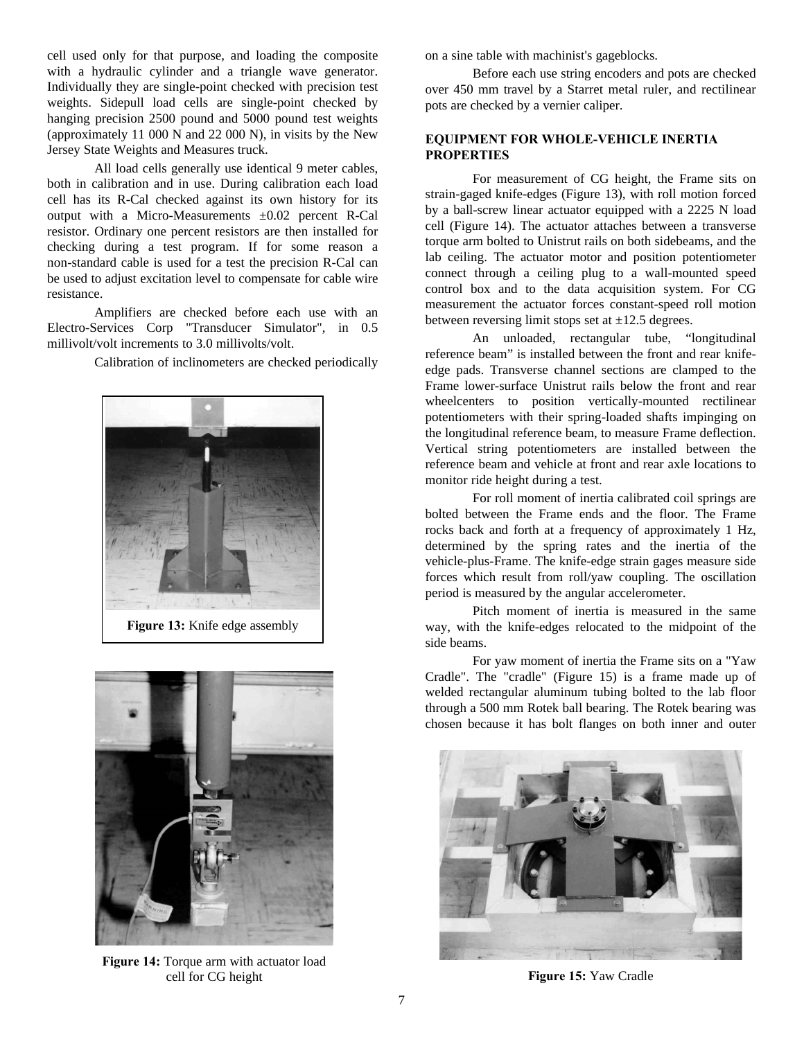cell used only for that purpose, and loading the composite with a hydraulic cylinder and a triangle wave generator. Individually they are single-point checked with precision test weights. Sidepull load cells are single-point checked by hanging precision 2500 pound and 5000 pound test weights (approximately 11 000 N and 22 000 N), in visits by the New Jersey State Weights and Measures truck.

All load cells generally use identical 9 meter cables, both in calibration and in use. During calibration each load cell has its R-Cal checked against its own history for its output with a Micro-Measurements ±0.02 percent R-Cal resistor. Ordinary one percent resistors are then installed for checking during a test program. If for some reason a non-standard cable is used for a test the precision R-Cal can be used to adjust excitation level to compensate for cable wire resistance.

Amplifiers are checked before each use with an Electro-Services Corp "Transducer Simulator", in 0.5 millivolt/volt increments to 3.0 millivolts/volt.

Calibration of inclinometers are checked periodically





**Figure 14:** Torque arm with actuator load cell for CG height **Figure 15:** Yaw Cradle

on a sine table with machinist's gageblocks.

Before each use string encoders and pots are checked over 450 mm travel by a Starret metal ruler, and rectilinear pots are checked by a vernier caliper.

## **EQUIPMENT FOR WHOLE-VEHICLE INERTIA PROPERTIES**

For measurement of CG height, the Frame sits on strain-gaged knife-edges (Figure 13), with roll motion forced by a ball-screw linear actuator equipped with a 2225 N load cell (Figure 14). The actuator attaches between a transverse torque arm bolted to Unistrut rails on both sidebeams, and the lab ceiling. The actuator motor and position potentiometer connect through a ceiling plug to a wall-mounted speed control box and to the data acquisition system. For CG measurement the actuator forces constant-speed roll motion between reversing limit stops set at  $\pm 12.5$  degrees.

An unloaded, rectangular tube, "longitudinal reference beam" is installed between the front and rear knifeedge pads. Transverse channel sections are clamped to the Frame lower-surface Unistrut rails below the front and rear wheelcenters to position vertically-mounted rectilinear potentiometers with their spring-loaded shafts impinging on the longitudinal reference beam, to measure Frame deflection. Vertical string potentiometers are installed between the reference beam and vehicle at front and rear axle locations to monitor ride height during a test.

For roll moment of inertia calibrated coil springs are bolted between the Frame ends and the floor. The Frame rocks back and forth at a frequency of approximately 1 Hz, determined by the spring rates and the inertia of the vehicle-plus-Frame. The knife-edge strain gages measure side forces which result from roll/yaw coupling. The oscillation period is measured by the angular accelerometer.

Pitch moment of inertia is measured in the same way, with the knife-edges relocated to the midpoint of the side beams.

For yaw moment of inertia the Frame sits on a "Yaw Cradle". The "cradle" (Figure 15) is a frame made up of welded rectangular aluminum tubing bolted to the lab floor through a 500 mm Rotek ball bearing. The Rotek bearing was chosen because it has bolt flanges on both inner and outer

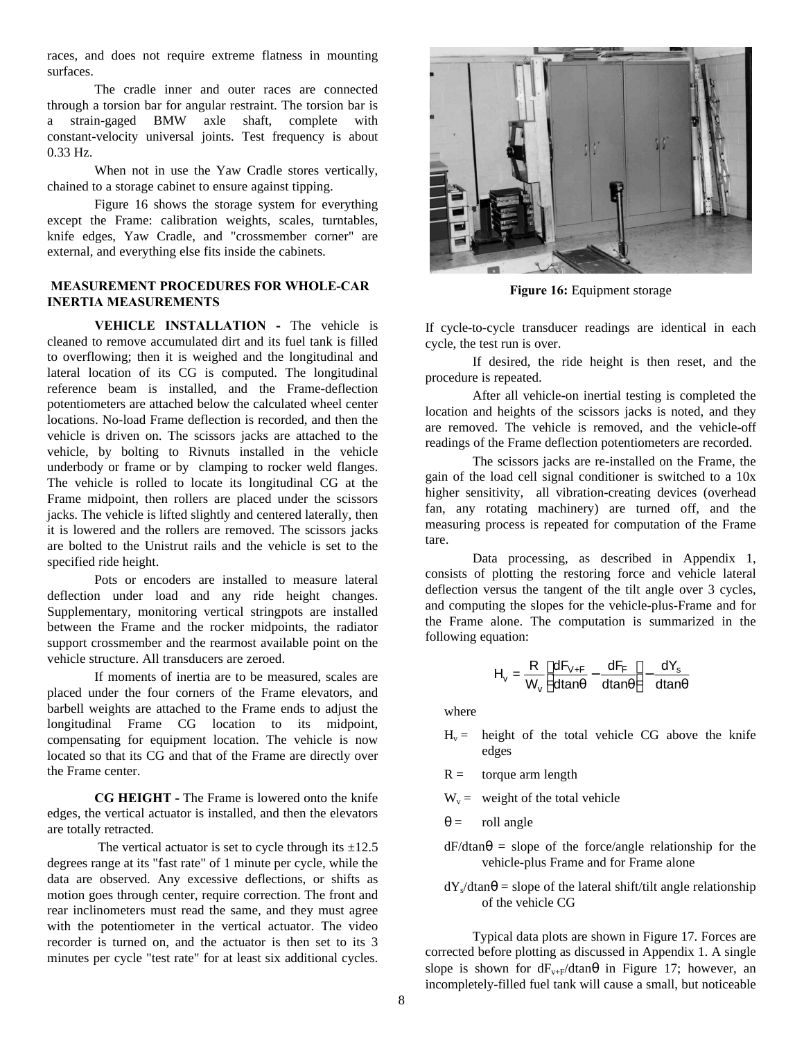races, and does not require extreme flatness in mounting surfaces.

The cradle inner and outer races are connected through a torsion bar for angular restraint. The torsion bar is a strain-gaged BMW axle shaft, complete with constant-velocity universal joints. Test frequency is about 0.33 Hz.

When not in use the Yaw Cradle stores vertically, chained to a storage cabinet to ensure against tipping.

Figure 16 shows the storage system for everything except the Frame: calibration weights, scales, turntables, knife edges, Yaw Cradle, and "crossmember corner" are external, and everything else fits inside the cabinets.

## **MEASUREMENT PROCEDURES FOR WHOLE-CAR INERTIA MEASUREMENTS**

**VEHICLE INSTALLATION - The vehicle is** cleaned to remove accumulated dirt and its fuel tank is filled to overflowing; then it is weighed and the longitudinal and lateral location of its CG is computed. The longitudinal reference beam is installed, and the Frame-deflection potentiometers are attached below the calculated wheel center locations. No-load Frame deflection is recorded, and then the vehicle is driven on. The scissors jacks are attached to the vehicle, by bolting to Rivnuts installed in the vehicle underbody or frame or by clamping to rocker weld flanges. The vehicle is rolled to locate its longitudinal CG at the Frame midpoint, then rollers are placed under the scissors jacks. The vehicle is lifted slightly and centered laterally, then it is lowered and the rollers are removed. The scissors jacks are bolted to the Unistrut rails and the vehicle is set to the specified ride height.

Pots or encoders are installed to measure lateral deflection under load and any ride height changes. Supplementary, monitoring vertical stringpots are installed between the Frame and the rocker midpoints, the radiator support crossmember and the rearmost available point on the vehicle structure. All transducers are zeroed.

If moments of inertia are to be measured, scales are placed under the four corners of the Frame elevators, and barbell weights are attached to the Frame ends to adjust the longitudinal Frame CG location to its midpoint, compensating for equipment location. The vehicle is now located so that its CG and that of the Frame are directly over the Frame center.

**CG HEIGHT -** The Frame is lowered onto the knife edges, the vertical actuator is installed, and then the elevators are totally retracted.

The vertical actuator is set to cycle through its  $\pm 12.5$ degrees range at its "fast rate" of 1 minute per cycle, while the data are observed. Any excessive deflections, or shifts as motion goes through center, require correction. The front and rear inclinometers must read the same, and they must agree with the potentiometer in the vertical actuator. The video recorder is turned on, and the actuator is then set to its 3 minutes per cycle "test rate" for at least six additional cycles.



**Figure 16:** Equipment storage

If cycle-to-cycle transducer readings are identical in each cycle, the test run is over.

If desired, the ride height is then reset, and the procedure is repeated.

After all vehicle-on inertial testing is completed the location and heights of the scissors jacks is noted, and they are removed. The vehicle is removed, and the vehicle-off readings of the Frame deflection potentiometers are recorded.

The scissors jacks are re-installed on the Frame, the gain of the load cell signal conditioner is switched to a 10x higher sensitivity, all vibration-creating devices (overhead fan, any rotating machinery) are turned off, and the measuring process is repeated for computation of the Frame tare.

Data processing, as described in Appendix 1, consists of plotting the restoring force and vehicle lateral deflection versus the tangent of the tilt angle over 3 cycles, and computing the slopes for the vehicle-plus-Frame and for the Frame alone. The computation is summarized in the following equation:

$$
H_v = \frac{R}{W_v} \left[ \frac{dF_{v+F}}{dtan\theta} - \frac{dF_F}{dtan\theta} \right] - \frac{dY_s}{dtan\theta}
$$

where

- $H_v =$  height of the total vehicle CG above the knife edges
- $R =$  torque arm length
- $W_v =$  weight of the total vehicle
- $\theta$  = roll angle
- $dF/dtan\theta$  = slope of the force/angle relationship for the vehicle-plus Frame and for Frame alone
- $dY_s/dtan\theta$  = slope of the lateral shift/tilt angle relationship of the vehicle CG

Typical data plots are shown in Figure 17. Forces are corrected before plotting as discussed in Appendix 1. A single slope is shown for  $dF_{v+F}/dt$  in Figure 17; however, an incompletely-filled fuel tank will cause a small, but noticeable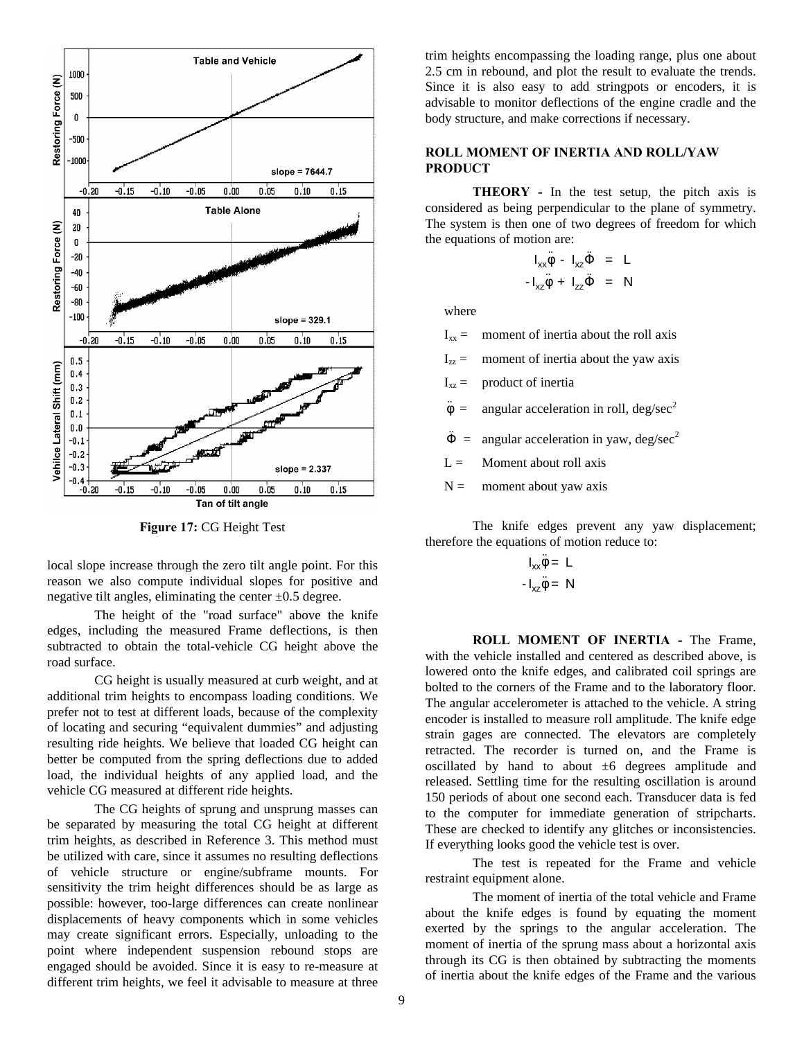

**Figure 17:** CG Height Test

local slope increase through the zero tilt angle point. For this reason we also compute individual slopes for positive and negative tilt angles, eliminating the center  $\pm 0.5$  degree.

The height of the "road surface" above the knife edges, including the measured Frame deflections, is then subtracted to obtain the total-vehicle CG height above the road surface.

CG height is usually measured at curb weight, and at additional trim heights to encompass loading conditions. We prefer not to test at different loads, because of the complexity of locating and securing "equivalent dummies" and adjusting resulting ride heights. We believe that loaded CG height can better be computed from the spring deflections due to added load, the individual heights of any applied load, and the vehicle CG measured at different ride heights.

The CG heights of sprung and unsprung masses can be separated by measuring the total CG height at different trim heights, as described in Reference 3. This method must be utilized with care, since it assumes no resulting deflections of vehicle structure or engine/subframe mounts. For sensitivity the trim height differences should be as large as possible: however, too-large differences can create nonlinear displacements of heavy components which in some vehicles may create significant errors. Especially, unloading to the point where independent suspension rebound stops are engaged should be avoided. Since it is easy to re-measure at different trim heights, we feel it advisable to measure at three

trim heights encompassing the loading range, plus one about 2.5 cm in rebound, and plot the result to evaluate the trends. Since it is also easy to add stringpots or encoders, it is advisable to monitor deflections of the engine cradle and the body structure, and make corrections if necessary.

## **ROLL MOMENT OF INERTIA AND ROLL/YAW PRODUCT**

**THEORY -** In the test setup, the pitch axis is considered as being perpendicular to the plane of symmetry. The system is then one of two degrees of freedom for which the equations of motion are:

$$
I_{xx}\ddot{\phi} - I_{xz}\ddot{\phi} = L
$$
  

$$
-I_{xz}\ddot{\phi} + I_{zz}\ddot{\phi} = N
$$

where

 $I_{xx}$  = moment of inertia about the roll axis

 $I_{zz}$  = moment of inertia about the yaw axis

 $I_{xz}$  = product of inertia

 $\ddot{\phi}$  = angular acceleration in roll, deg/sec<sup>2</sup>

 $\ddot{\Phi}$  = angular acceleration in yaw, deg/sec<sup>2</sup>

- $L =$  Moment about roll axis
- $N =$  moment about yaw axis

The knife edges prevent any yaw displacement; therefore the equations of motion reduce to:

$$
I_{xx}\ddot{\phi} = L
$$

$$
-I_{xz}\ddot{\phi} = N
$$

**ROLL MOMENT OF INERTIA -** The Frame, with the vehicle installed and centered as described above, is lowered onto the knife edges, and calibrated coil springs are bolted to the corners of the Frame and to the laboratory floor. The angular accelerometer is attached to the vehicle. A string encoder is installed to measure roll amplitude. The knife edge strain gages are connected. The elevators are completely retracted. The recorder is turned on, and the Frame is oscillated by hand to about  $\pm 6$  degrees amplitude and released. Settling time for the resulting oscillation is around 150 periods of about one second each. Transducer data is fed to the computer for immediate generation of stripcharts. These are checked to identify any glitches or inconsistencies. If everything looks good the vehicle test is over.

The test is repeated for the Frame and vehicle restraint equipment alone.

The moment of inertia of the total vehicle and Frame about the knife edges is found by equating the moment exerted by the springs to the angular acceleration. The moment of inertia of the sprung mass about a horizontal axis through its CG is then obtained by subtracting the moments of inertia about the knife edges of the Frame and the various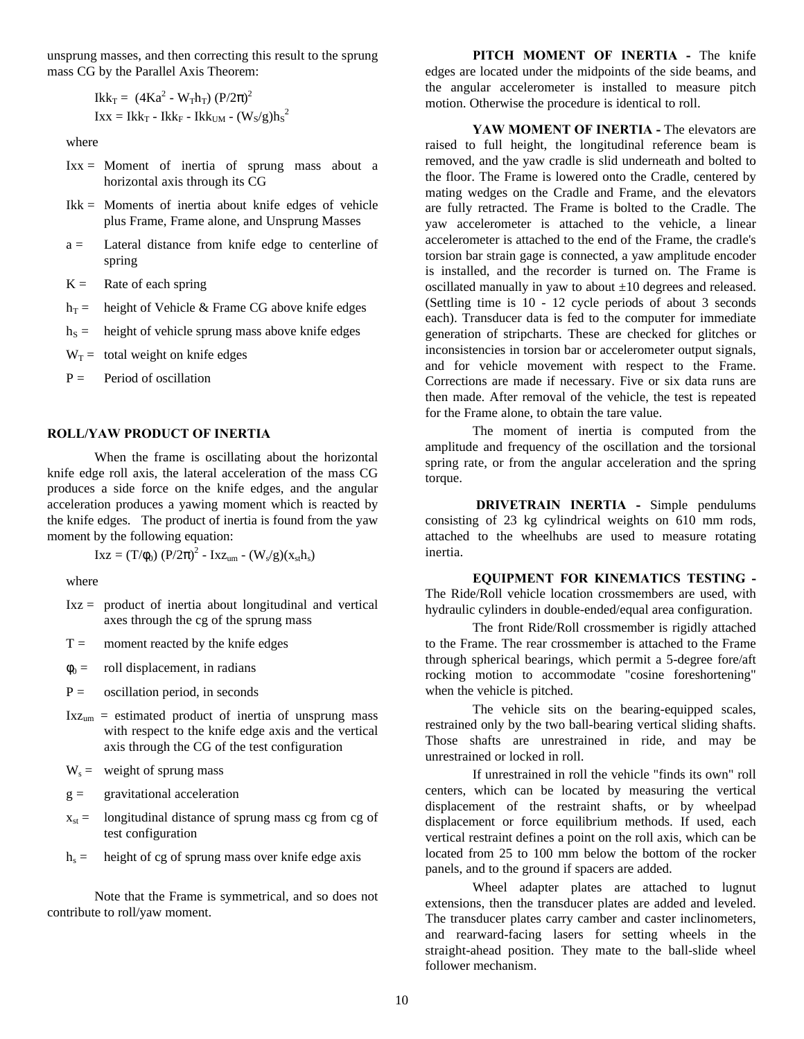unsprung masses, and then correcting this result to the sprung mass CG by the Parallel Axis Theorem:

$$
Ikk_T = (4Ka^2 - W_Th_T) (P/2\pi)^2
$$
  

$$
Ixx = Ikk_T - Ikk_F - Ikk_{UM} - (W_S/g)h_S^2
$$

where

- Ixx = Moment of inertia of sprung mass about a horizontal axis through its CG
- Ikk = Moments of inertia about knife edges of vehicle plus Frame, Frame alone, and Unsprung Masses
- a = Lateral distance from knife edge to centerline of spring
- $K =$  Rate of each spring
- $h_T$  = height of Vehicle & Frame CG above knife edges
- $h<sub>S</sub>$  = height of vehicle sprung mass above knife edges

 $W_T$  = total weight on knife edges

 $P =$  Period of oscillation

## **ROLL/YAW PRODUCT OF INERTIA**

When the frame is oscillating about the horizontal knife edge roll axis, the lateral acceleration of the mass CG produces a side force on the knife edges, and the angular acceleration produces a yawing moment which is reacted by the knife edges. The product of inertia is found from the yaw moment by the following equation:

$$
Ixz = (T/\phi_0) (P/2\pi)^2 - Ixz_{um} - (W_s/g)(x_{st}h_s)
$$

where

- Ixz = product of inertia about longitudinal and vertical axes through the cg of the sprung mass
- $T =$  moment reacted by the knife edges
- $\phi_0 =$  roll displacement, in radians
- $P =$  oscillation period, in seconds
- $Ixz<sub>um</sub> = estimated product of inertia of unspring mass$ with respect to the knife edge axis and the vertical axis through the CG of the test configuration

 $W_s$  = weight of sprung mass

 $g =$  gravitational acceleration

- $x_{st}$  = longitudinal distance of sprung mass cg from cg of test configuration
- $h_s$  = height of cg of sprung mass over knife edge axis

Note that the Frame is symmetrical, and so does not contribute to roll/yaw moment.

**PITCH MOMENT OF INERTIA -** The knife edges are located under the midpoints of the side beams, and the angular accelerometer is installed to measure pitch motion. Otherwise the procedure is identical to roll.

YAW MOMENT OF INERTIA - The elevators are raised to full height, the longitudinal reference beam is removed, and the yaw cradle is slid underneath and bolted to the floor. The Frame is lowered onto the Cradle, centered by mating wedges on the Cradle and Frame, and the elevators are fully retracted. The Frame is bolted to the Cradle. The yaw accelerometer is attached to the vehicle, a linear accelerometer is attached to the end of the Frame, the cradle's torsion bar strain gage is connected, a yaw amplitude encoder is installed, and the recorder is turned on. The Frame is oscillated manually in yaw to about  $\pm 10$  degrees and released. (Settling time is 10 - 12 cycle periods of about 3 seconds each). Transducer data is fed to the computer for immediate generation of stripcharts. These are checked for glitches or inconsistencies in torsion bar or accelerometer output signals, and for vehicle movement with respect to the Frame. Corrections are made if necessary. Five or six data runs are then made. After removal of the vehicle, the test is repeated for the Frame alone, to obtain the tare value.

The moment of inertia is computed from the amplitude and frequency of the oscillation and the torsional spring rate, or from the angular acceleration and the spring torque.

**DRIVETRAIN INERTIA -** Simple pendulums consisting of 23 kg cylindrical weights on 610 mm rods, attached to the wheelhubs are used to measure rotating inertia.

**EQUIPMENT FOR KINEMATICS TESTING -** The Ride/Roll vehicle location crossmembers are used, with hydraulic cylinders in double-ended/equal area configuration.

The front Ride/Roll crossmember is rigidly attached to the Frame. The rear crossmember is attached to the Frame through spherical bearings, which permit a 5-degree fore/aft rocking motion to accommodate "cosine foreshortening" when the vehicle is pitched.

The vehicle sits on the bearing-equipped scales, restrained only by the two ball-bearing vertical sliding shafts. Those shafts are unrestrained in ride, and may be unrestrained or locked in roll.

If unrestrained in roll the vehicle "finds its own" roll centers, which can be located by measuring the vertical displacement of the restraint shafts, or by wheelpad displacement or force equilibrium methods. If used, each vertical restraint defines a point on the roll axis, which can be located from 25 to 100 mm below the bottom of the rocker panels, and to the ground if spacers are added.

Wheel adapter plates are attached to lugnut extensions, then the transducer plates are added and leveled. The transducer plates carry camber and caster inclinometers, and rearward-facing lasers for setting wheels in the straight-ahead position. They mate to the ball-slide wheel follower mechanism.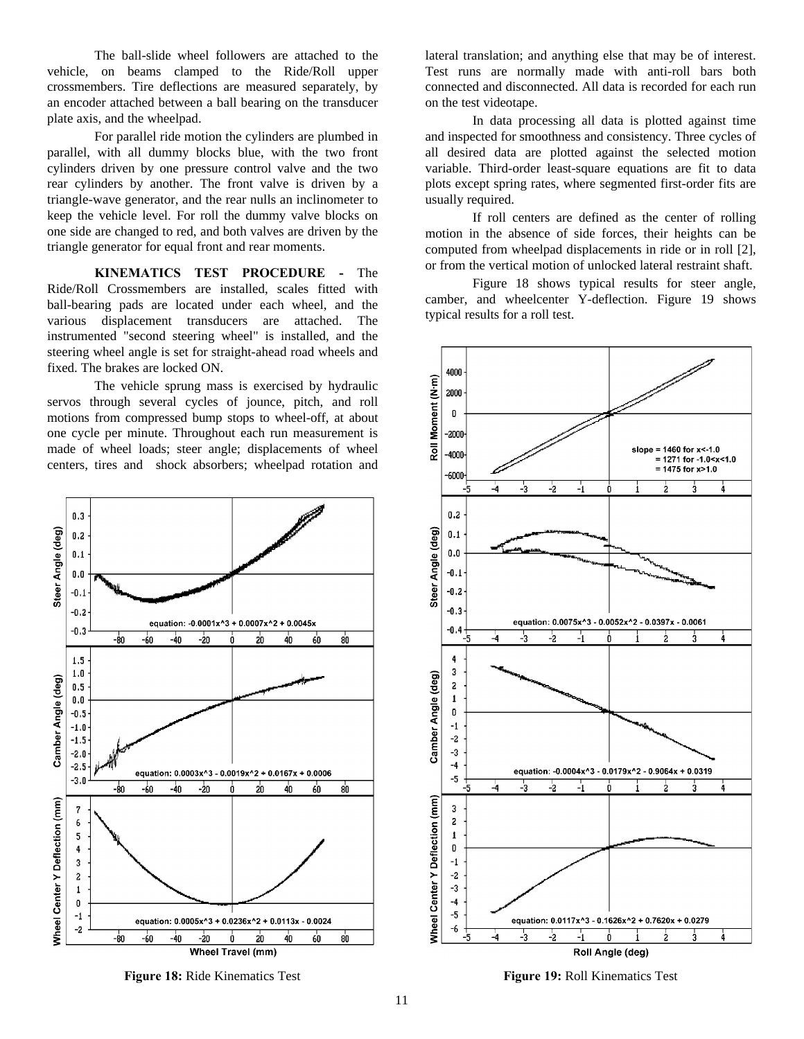The ball-slide wheel followers are attached to the vehicle, on beams clamped to the Ride/Roll upper crossmembers. Tire deflections are measured separately, by an encoder attached between a ball bearing on the transducer plate axis, and the wheelpad.

For parallel ride motion the cylinders are plumbed in parallel, with all dummy blocks blue, with the two front cylinders driven by one pressure control valve and the two rear cylinders by another. The front valve is driven by a triangle-wave generator, and the rear nulls an inclinometer to keep the vehicle level. For roll the dummy valve blocks on one side are changed to red, and both valves are driven by the triangle generator for equal front and rear moments.

**KINEMATICS TEST PROCEDURE -** The Ride/Roll Crossmembers are installed, scales fitted with ball-bearing pads are located under each wheel, and the various displacement transducers are attached. The instrumented "second steering wheel" is installed, and the steering wheel angle is set for straight-ahead road wheels and fixed. The brakes are locked ON.

The vehicle sprung mass is exercised by hydraulic servos through several cycles of jounce, pitch, and roll motions from compressed bump stops to wheel-off, at about one cycle per minute. Throughout each run measurement is made of wheel loads; steer angle; displacements of wheel centers, tires and shock absorbers; wheelpad rotation and



**Figure 18:** Ride Kinematics Test **Figure 19:** Roll Kinematics Test

lateral translation; and anything else that may be of interest. Test runs are normally made with anti-roll bars both connected and disconnected. All data is recorded for each run on the test videotape.

In data processing all data is plotted against time and inspected for smoothness and consistency. Three cycles of all desired data are plotted against the selected motion variable. Third-order least-square equations are fit to data plots except spring rates, where segmented first-order fits are usually required.

If roll centers are defined as the center of rolling motion in the absence of side forces, their heights can be computed from wheelpad displacements in ride or in roll [2], or from the vertical motion of unlocked lateral restraint shaft.

Figure 18 shows typical results for steer angle, camber, and wheelcenter Y-deflection. Figure 19 shows typical results for a roll test.

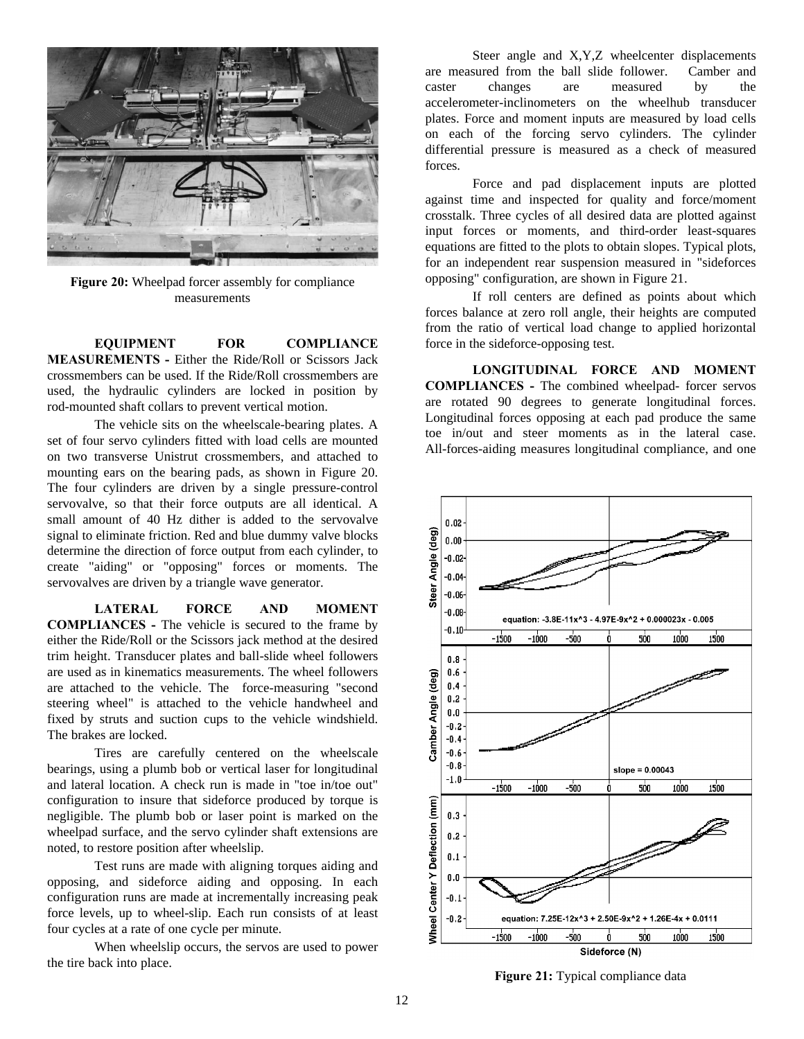

**Figure 20:** Wheelpad forcer assembly for compliance measurements

**EQUIPMENT FOR COMPLIANCE MEASUREMENTS -** Either the Ride/Roll or Scissors Jack crossmembers can be used. If the Ride/Roll crossmembers are used, the hydraulic cylinders are locked in position by rod-mounted shaft collars to prevent vertical motion.

The vehicle sits on the wheelscale-bearing plates. A set of four servo cylinders fitted with load cells are mounted on two transverse Unistrut crossmembers, and attached to mounting ears on the bearing pads, as shown in Figure 20. The four cylinders are driven by a single pressure-control servovalve, so that their force outputs are all identical. A small amount of 40 Hz dither is added to the servovalve signal to eliminate friction. Red and blue dummy valve blocks determine the direction of force output from each cylinder, to create "aiding" or "opposing" forces or moments. The servovalves are driven by a triangle wave generator.

**LATERAL FORCE AND MOMENT COMPLIANCES -** The vehicle is secured to the frame by either the Ride/Roll or the Scissors jack method at the desired trim height. Transducer plates and ball-slide wheel followers are used as in kinematics measurements. The wheel followers are attached to the vehicle. The force-measuring "second steering wheel" is attached to the vehicle handwheel and fixed by struts and suction cups to the vehicle windshield. The brakes are locked.

Tires are carefully centered on the wheelscale bearings, using a plumb bob or vertical laser for longitudinal and lateral location. A check run is made in "toe in/toe out" configuration to insure that sideforce produced by torque is negligible. The plumb bob or laser point is marked on the wheelpad surface, and the servo cylinder shaft extensions are noted, to restore position after wheelslip.

Test runs are made with aligning torques aiding and opposing, and sideforce aiding and opposing. In each configuration runs are made at incrementally increasing peak force levels, up to wheel-slip. Each run consists of at least four cycles at a rate of one cycle per minute.

When wheelslip occurs, the servos are used to power the tire back into place.

Steer angle and X,Y,Z wheelcenter displacements are measured from the ball slide follower. Camber and caster changes are measured by the accelerometer-inclinometers on the wheelhub transducer plates. Force and moment inputs are measured by load cells on each of the forcing servo cylinders. The cylinder differential pressure is measured as a check of measured forces.

Force and pad displacement inputs are plotted against time and inspected for quality and force/moment crosstalk. Three cycles of all desired data are plotted against input forces or moments, and third-order least-squares equations are fitted to the plots to obtain slopes. Typical plots, for an independent rear suspension measured in "sideforces opposing" configuration, are shown in Figure 21.

If roll centers are defined as points about which forces balance at zero roll angle, their heights are computed from the ratio of vertical load change to applied horizontal force in the sideforce-opposing test.

**LONGITUDINAL FORCE AND MOMENT COMPLIANCES -** The combined wheelpad- forcer servos are rotated 90 degrees to generate longitudinal forces. Longitudinal forces opposing at each pad produce the same toe in/out and steer moments as in the lateral case. All-forces-aiding measures longitudinal compliance, and one



**Figure 21:** Typical compliance data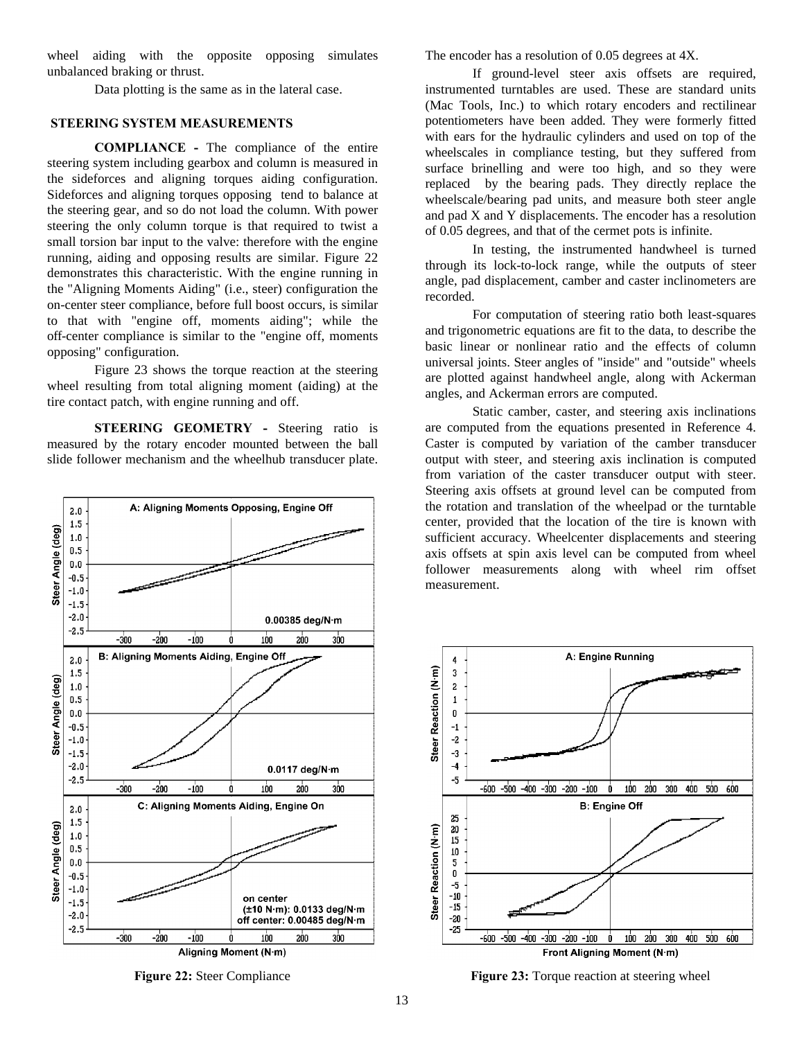wheel aiding with the opposite opposing simulates unbalanced braking or thrust.

Data plotting is the same as in the lateral case.

## **STEERING SYSTEM MEASUREMENTS**

**COMPLIANCE -** The compliance of the entire steering system including gearbox and column is measured in the sideforces and aligning torques aiding configuration. Sideforces and aligning torques opposing tend to balance at the steering gear, and so do not load the column. With power steering the only column torque is that required to twist a small torsion bar input to the valve: therefore with the engine running, aiding and opposing results are similar. Figure 22 demonstrates this characteristic. With the engine running in the "Aligning Moments Aiding" (i.e., steer) configuration the on-center steer compliance, before full boost occurs, is similar to that with "engine off, moments aiding"; while the off-center compliance is similar to the "engine off, moments opposing" configuration.

Figure 23 shows the torque reaction at the steering wheel resulting from total aligning moment (aiding) at the tire contact patch, with engine running and off.

**STEERING GEOMETRY - Steering ratio is** measured by the rotary encoder mounted between the ball slide follower mechanism and the wheelhub transducer plate.



The encoder has a resolution of 0.05 degrees at 4X.

If ground-level steer axis offsets are required, instrumented turntables are used. These are standard units (Mac Tools, Inc.) to which rotary encoders and rectilinear potentiometers have been added. They were formerly fitted with ears for the hydraulic cylinders and used on top of the wheelscales in compliance testing, but they suffered from surface brinelling and were too high, and so they were replaced by the bearing pads. They directly replace the wheelscale/bearing pad units, and measure both steer angle and pad X and Y displacements. The encoder has a resolution of 0.05 degrees, and that of the cermet pots is infinite.

In testing, the instrumented handwheel is turned through its lock-to-lock range, while the outputs of steer angle, pad displacement, camber and caster inclinometers are recorded.

For computation of steering ratio both least-squares and trigonometric equations are fit to the data, to describe the basic linear or nonlinear ratio and the effects of column universal joints. Steer angles of "inside" and "outside" wheels are plotted against handwheel angle, along with Ackerman angles, and Ackerman errors are computed.

Static camber, caster, and steering axis inclinations are computed from the equations presented in Reference 4. Caster is computed by variation of the camber transducer output with steer, and steering axis inclination is computed from variation of the caster transducer output with steer. Steering axis offsets at ground level can be computed from the rotation and translation of the wheelpad or the turntable center, provided that the location of the tire is known with sufficient accuracy. Wheelcenter displacements and steering axis offsets at spin axis level can be computed from wheel follower measurements along with wheel rim offset measurement.



**Figure 22:** Steer Compliance **Figure 23:** Torque reaction at steering wheel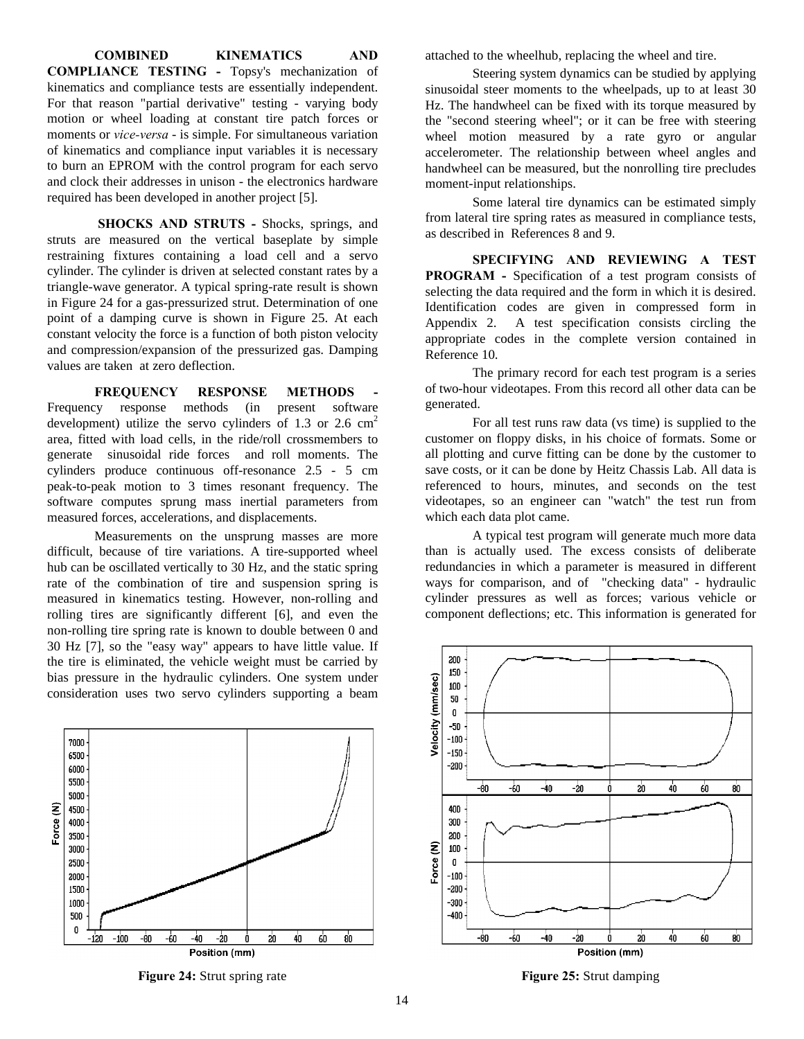**COMBINED KINEMATICS AND COMPLIANCE TESTING -** Topsy's mechanization of kinematics and compliance tests are essentially independent. For that reason "partial derivative" testing - varying body motion or wheel loading at constant tire patch forces or moments or *vice-versa* - is simple. For simultaneous variation of kinematics and compliance input variables it is necessary to burn an EPROM with the control program for each servo and clock their addresses in unison - the electronics hardware required has been developed in another project [5].

**SHOCKS AND STRUTS -** Shocks, springs, and struts are measured on the vertical baseplate by simple restraining fixtures containing a load cell and a servo cylinder. The cylinder is driven at selected constant rates by a triangle-wave generator. A typical spring-rate result is shown in Figure 24 for a gas-pressurized strut. Determination of one point of a damping curve is shown in Figure 25. At each constant velocity the force is a function of both piston velocity and compression/expansion of the pressurized gas. Damping values are taken at zero deflection.

**FREQUENCY RESPONSE METHODS** Frequency response methods (in present software development) utilize the servo cylinders of 1.3 or 2.6  $\text{cm}^2$ area, fitted with load cells, in the ride/roll crossmembers to generate sinusoidal ride forces and roll moments. The cylinders produce continuous off-resonance 2.5 - 5 cm peak-to-peak motion to 3 times resonant frequency. The software computes sprung mass inertial parameters from measured forces, accelerations, and displacements.

Measurements on the unsprung masses are more difficult, because of tire variations. A tire-supported wheel hub can be oscillated vertically to 30 Hz, and the static spring rate of the combination of tire and suspension spring is measured in kinematics testing. However, non-rolling and rolling tires are significantly different [6], and even the non-rolling tire spring rate is known to double between 0 and 30 Hz [7], so the "easy way" appears to have little value. If the tire is eliminated, the vehicle weight must be carried by bias pressure in the hydraulic cylinders. One system under consideration uses two servo cylinders supporting a beam



**Figure 24:** Strut spring rate **Figure 25:** Strut damping

attached to the wheelhub, replacing the wheel and tire.

Steering system dynamics can be studied by applying sinusoidal steer moments to the wheelpads, up to at least 30 Hz. The handwheel can be fixed with its torque measured by the "second steering wheel"; or it can be free with steering wheel motion measured by a rate gyro or angular accelerometer. The relationship between wheel angles and handwheel can be measured, but the nonrolling tire precludes moment-input relationships.

Some lateral tire dynamics can be estimated simply from lateral tire spring rates as measured in compliance tests, as described in References 8 and 9.

**SPECIFYING AND REVIEWING A TEST PROGRAM -** Specification of a test program consists of selecting the data required and the form in which it is desired. Identification codes are given in compressed form in Appendix 2. A test specification consists circling the appropriate codes in the complete version contained in Reference 10.

The primary record for each test program is a series of two-hour videotapes. From this record all other data can be generated.

For all test runs raw data (vs time) is supplied to the customer on floppy disks, in his choice of formats. Some or all plotting and curve fitting can be done by the customer to save costs, or it can be done by Heitz Chassis Lab. All data is referenced to hours, minutes, and seconds on the test videotapes, so an engineer can "watch" the test run from which each data plot came.

A typical test program will generate much more data than is actually used. The excess consists of deliberate redundancies in which a parameter is measured in different ways for comparison, and of "checking data" - hydraulic cylinder pressures as well as forces; various vehicle or component deflections; etc. This information is generated for

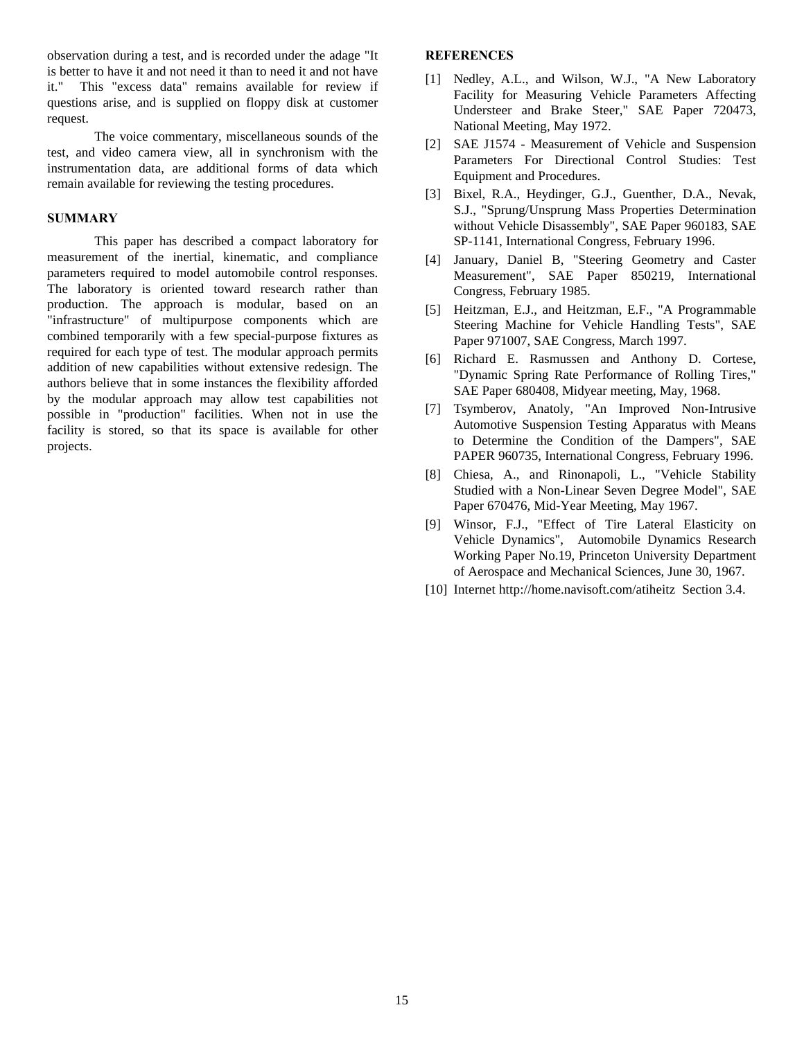observation during a test, and is recorded under the adage "It is better to have it and not need it than to need it and not have it." This "excess data" remains available for review if questions arise, and is supplied on floppy disk at customer request.

The voice commentary, miscellaneous sounds of the test, and video camera view, all in synchronism with the instrumentation data, are additional forms of data which remain available for reviewing the testing procedures.

#### **SUMMARY**

This paper has described a compact laboratory for measurement of the inertial, kinematic, and compliance parameters required to model automobile control responses. The laboratory is oriented toward research rather than production. The approach is modular, based on an "infrastructure" of multipurpose components which are combined temporarily with a few special-purpose fixtures as required for each type of test. The modular approach permits addition of new capabilities without extensive redesign. The authors believe that in some instances the flexibility afforded by the modular approach may allow test capabilities not possible in "production" facilities. When not in use the facility is stored, so that its space is available for other projects.

#### **REFERENCES**

- [1] Nedley, A.L., and Wilson, W.J., "A New Laboratory Facility for Measuring Vehicle Parameters Affecting Understeer and Brake Steer," SAE Paper 720473, National Meeting, May 1972.
- [2] SAE J1574 Measurement of Vehicle and Suspension Parameters For Directional Control Studies: Test Equipment and Procedures.
- [3] Bixel, R.A., Heydinger, G.J., Guenther, D.A., Nevak, S.J., "Sprung/Unsprung Mass Properties Determination without Vehicle Disassembly", SAE Paper 960183, SAE SP-1141, International Congress, February 1996.
- [4] January, Daniel B, "Steering Geometry and Caster Measurement", SAE Paper 850219, International Congress, February 1985.
- [5] Heitzman, E.J., and Heitzman, E.F., "A Programmable Steering Machine for Vehicle Handling Tests", SAE Paper 971007, SAE Congress, March 1997.
- [6] Richard E. Rasmussen and Anthony D. Cortese, "Dynamic Spring Rate Performance of Rolling Tires," SAE Paper 680408, Midyear meeting, May, 1968.
- [7] Tsymberov, Anatoly, "An Improved Non-Intrusive Automotive Suspension Testing Apparatus with Means to Determine the Condition of the Dampers", SAE PAPER 960735, International Congress, February 1996.
- [8] Chiesa, A., and Rinonapoli, L., "Vehicle Stability Studied with a Non-Linear Seven Degree Model", SAE Paper 670476, Mid-Year Meeting, May 1967.
- [9] Winsor, F.J., "Effect of Tire Lateral Elasticity on Vehicle Dynamics", Automobile Dynamics Research Working Paper No.19, Princeton University Department of Aerospace and Mechanical Sciences, June 30, 1967.
- [10] Internet http://home.navisoft.com/atiheitz Section 3.4.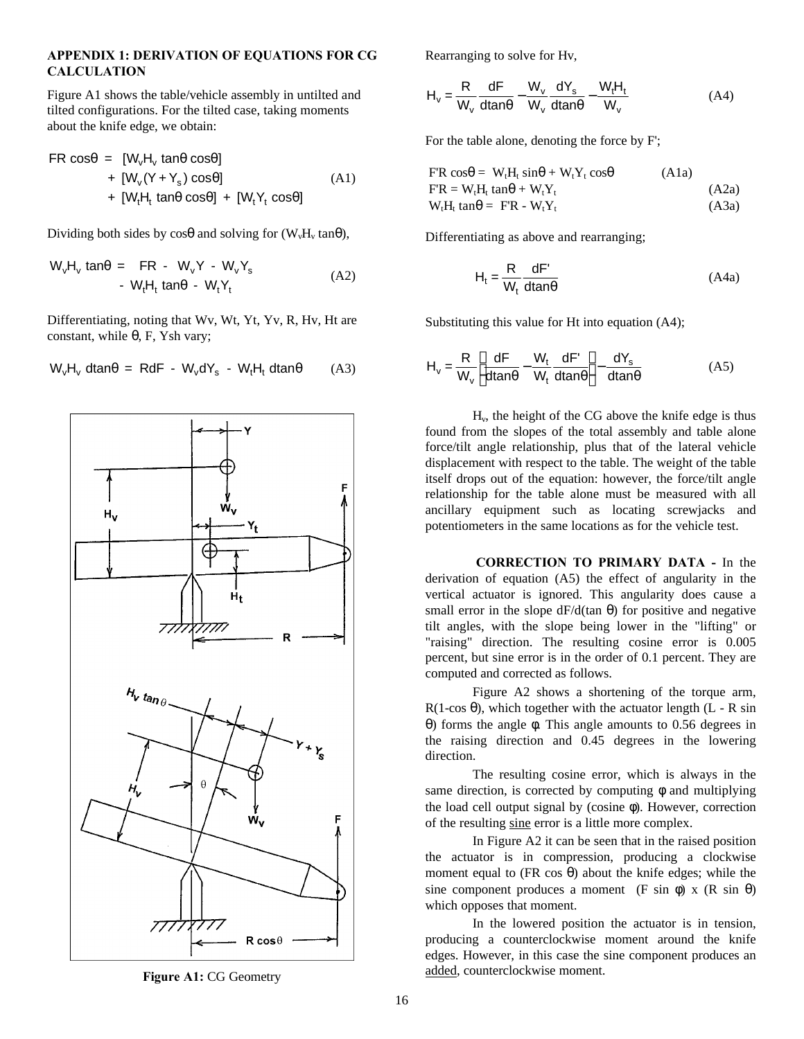#### **APPENDIX 1: DERIVATION OF EQUATIONS FOR CG CALCULATION**

Figure A1 shows the table/vehicle assembly in untilted and tilted configurations. For the tilted case, taking moments about the knife edge, we obtain:

$$
FR \cos\theta = [W_vH_v \tan\theta \cos\theta] + [W_v(Y+Y_s) \cos\theta] + [W_tH_t \tan\theta \cos\theta] + [W_tY_t \cos\theta]
$$
 (A1)

Dividing both sides by  $\cos\theta$  and solving for (W<sub>v</sub>H<sub>v</sub> tan $\theta$ ),

$$
W_vH_v \tan\theta = FR - W_vY - W_vY_s
$$
  
- W<sub>t</sub>H<sub>t</sub> \tan\theta - W<sub>t</sub>Y<sub>t</sub> (A2)

Differentiating, noting that Wv, Wt, Yt, Yv, R, Hv, Ht are constant, while θ, F, Ysh vary;



$$
W_vH_v \text{ dtan}\theta = RdF - W_vdY_s - W_tH_t \text{ dtan}\theta \qquad (A3)
$$

Rearranging to solve for Hv,

$$
H_v = \frac{R}{W_v} \frac{dF}{dt} - \frac{W_v}{W_v} \frac{dY_s}{dt} - \frac{W_t H_t}{W_v}
$$
 (A4)

For the table alone, denoting the force by F';

$$
F'R \cos\theta = W_tH_t \sin\theta + W_tY_t \cos\theta
$$
 (A1a)  
\n
$$
F'R = W_tH_t \tan\theta + W_tY_t
$$
 (A2a)  
\n
$$
W_tH_t \tan\theta = FR - W_tY_t
$$
 (A3a)

Differentiating as above and rearranging;

$$
H_t = \frac{R}{W_t} \frac{dF'}{dtan\theta}
$$
 (A4a)

Substituting this value for Ht into equation (A4);

$$
H_v = \frac{R}{W_v} \left[ \frac{dF}{dt} - \frac{W_t}{W_t} \frac{dF'}{dt} \right] - \frac{dY_s}{dt} \tag{A5}
$$

Hv, the height of the CG above the knife edge is thus found from the slopes of the total assembly and table alone force/tilt angle relationship, plus that of the lateral vehicle displacement with respect to the table. The weight of the table itself drops out of the equation: however, the force/tilt angle relationship for the table alone must be measured with all ancillary equipment such as locating screwjacks and potentiometers in the same locations as for the vehicle test.

 **CORRECTION TO PRIMARY DATA -** In the derivation of equation (A5) the effect of angularity in the vertical actuator is ignored. This angularity does cause a small error in the slope  $dF/d(tan \theta)$  for positive and negative tilt angles, with the slope being lower in the "lifting" or "raising" direction. The resulting cosine error is 0.005 percent, but sine error is in the order of 0.1 percent. They are computed and corrected as follows.

Figure A2 shows a shortening of the torque arm,  $R(1-\cos\theta)$ , which together with the actuator length (L - R sin θ) forms the angle φ. This angle amounts to 0.56 degrees in the raising direction and 0.45 degrees in the lowering direction.

The resulting cosine error, which is always in the same direction, is corrected by computing  $\phi$  and multiplying the load cell output signal by (cosine φ). However, correction of the resulting sine error is a little more complex.

In Figure A2 it can be seen that in the raised position the actuator is in compression, producing a clockwise moment equal to (FR cos  $\theta$ ) about the knife edges; while the sine component produces a moment (F sin  $\phi$ ) x (R sin  $\theta$ ) which opposes that moment.

In the lowered position the actuator is in tension, producing a counterclockwise moment around the knife edges. However, in this case the sine component produces an Figure A1: CG Geometry added, counterclockwise moment.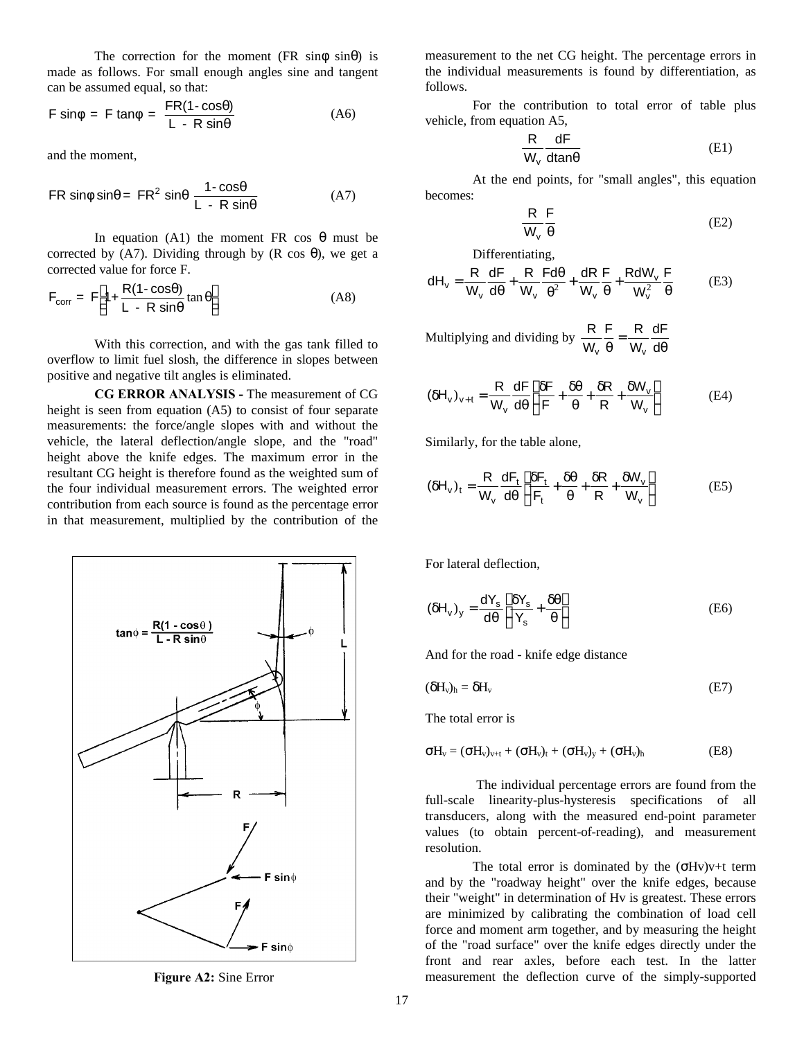The correction for the moment (FR sin $\phi$  sin $\theta$ ) is made as follows. For small enough angles sine and tangent can be assumed equal, so that:

$$
F \sin \phi = F \tan \phi = \frac{FR(1 - \cos \theta)}{L - R \sin \theta}
$$
 (A6)

and the moment,

$$
FR \sin\phi \sin\theta = FR^2 \sin\theta \frac{1 - \cos\theta}{L - R \sin\theta}
$$
 (A7)

In equation (A1) the moment FR cos θ must be corrected by (A7). Dividing through by (R cos  $\theta$ ), we get a corrected value for force F.

$$
F_{corr} = F \left[ 1 + \frac{R(1 - \cos\theta)}{L - R\sin\theta} \tan\theta \right]
$$
 (A8)

With this correction, and with the gas tank filled to overflow to limit fuel slosh, the difference in slopes between positive and negative tilt angles is eliminated.

**CG ERROR ANALYSIS -** The measurement of CG height is seen from equation (A5) to consist of four separate measurements: the force/angle slopes with and without the vehicle, the lateral deflection/angle slope, and the "road" height above the knife edges. The maximum error in the resultant CG height is therefore found as the weighted sum of the four individual measurement errors. The weighted error contribution from each source is found as the percentage error in that measurement, multiplied by the contribution of the



measurement to the net CG height. The percentage errors in the individual measurements is found by differentiation, as follows.

For the contribution to total error of table plus vehicle, from equation A5,

$$
\frac{R}{W_v} \frac{dF}{dtan\theta}
$$
 (E1)

At the end points, for "small angles", this equation becomes:

$$
\frac{\mathsf{R}}{\mathsf{W}_{\mathsf{v}}}\frac{\mathsf{F}}{\theta} \tag{E2}
$$

Differentiating,

$$
dH_v = \frac{R}{W_v} \frac{dF}{d\theta} + \frac{R}{W_v} \frac{F d\theta}{\theta^2} + \frac{dR}{W_v} \frac{F}{\theta} + \frac{R dW_v}{W_v^2} \frac{F}{\theta}
$$
(E3)

Multiplying and dividing by  $\frac{R}{W}$ F R W dF  $\frac{v}{v} = \frac{dv}{w_v} \frac{du}{d\theta}$ 

$$
(\delta H_v)_{v+t} = \frac{R}{W_v} \frac{dF}{d\theta} \left[ \frac{\delta F}{F} + \frac{\delta \theta}{\theta} + \frac{\delta R}{R} + \frac{\delta W_v}{W_v} \right]
$$
(E4)

Similarly, for the table alone,

$$
(\delta H_v)_t = \frac{R}{W_v} \frac{dF_t}{d\theta} \left[ \frac{\delta F_t}{F_t} + \frac{\delta \theta}{\theta} + \frac{\delta R}{R} + \frac{\delta W_v}{W_v} \right]
$$
(E5)

For lateral deflection,

$$
(\delta H_v)_y = \frac{dY_s}{d\theta} \left[ \frac{\delta Y_s}{Y_s} + \frac{\delta \theta}{\theta} \right]
$$
 (E6)

And for the road - knife edge distance

$$
(\delta H_v)_h = \delta H_v \tag{E7}
$$

The total error is

$$
\sigma H_v = (\sigma H_v)_{v+t} + (\sigma H_v)_t + (\sigma H_v)_y + (\sigma H_v)_h \tag{E8}
$$

 The individual percentage errors are found from the full-scale linearity-plus-hysteresis specifications of all transducers, along with the measured end-point parameter values (to obtain percent-of-reading), and measurement resolution.

The total error is dominated by the  $(\sigma Hv)v+t$  term and by the "roadway height" over the knife edges, because their "weight" in determination of Hv is greatest. These errors are minimized by calibrating the combination of load cell force and moment arm together, and by measuring the height of the "road surface" over the knife edges directly under the front and rear axles, before each test. In the latter **Figure A2:** Sine Error measurement the deflection curve of the simply-supported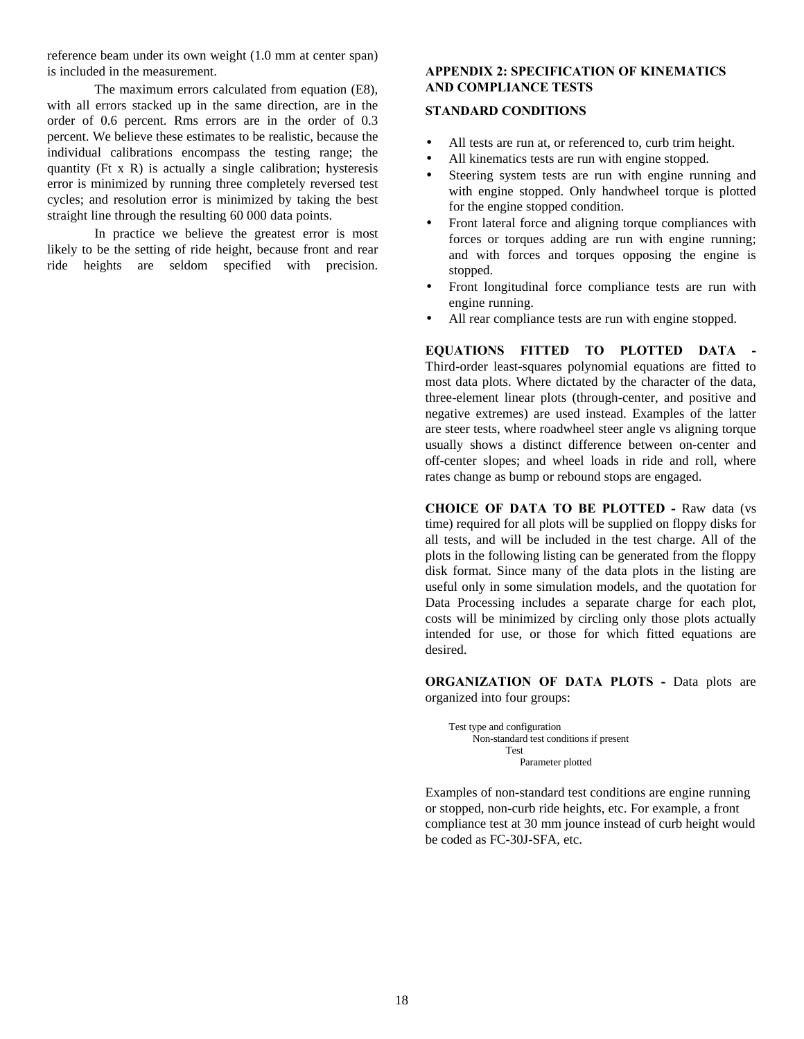reference beam under its own weight (1.0 mm at center span) is included in the measurement.

The maximum errors calculated from equation (E8), with all errors stacked up in the same direction, are in the order of 0.6 percent. Rms errors are in the order of 0.3 percent. We believe these estimates to be realistic, because the individual calibrations encompass the testing range; the quantity ( $F$ t x R) is actually a single calibration; hysteresis error is minimized by running three completely reversed test cycles; and resolution error is minimized by taking the best straight line through the resulting 60 000 data points.

In practice we believe the greatest error is most likely to be the setting of ride height, because front and rear ride heights are seldom specified with precision.

## **APPENDIX 2: SPECIFICATION OF KINEMATICS AND COMPLIANCE TESTS**

#### **STANDARD CONDITIONS**

- All tests are run at, or referenced to, curb trim height.
- All kinematics tests are run with engine stopped.
- Steering system tests are run with engine running and with engine stopped. Only handwheel torque is plotted for the engine stopped condition.
- Front lateral force and aligning torque compliances with forces or torques adding are run with engine running; and with forces and torques opposing the engine is stopped.
- Front longitudinal force compliance tests are run with engine running.
- All rear compliance tests are run with engine stopped.

**EQUATIONS FITTED TO PLOTTED DATA -** Third-order least-squares polynomial equations are fitted to most data plots. Where dictated by the character of the data, three-element linear plots (through-center, and positive and negative extremes) are used instead. Examples of the latter are steer tests, where roadwheel steer angle vs aligning torque usually shows a distinct difference between on-center and off-center slopes; and wheel loads in ride and roll, where rates change as bump or rebound stops are engaged.

**CHOICE OF DATA TO BE PLOTTED -** Raw data (vs time) required for all plots will be supplied on floppy disks for all tests, and will be included in the test charge. All of the plots in the following listing can be generated from the floppy disk format. Since many of the data plots in the listing are useful only in some simulation models, and the quotation for Data Processing includes a separate charge for each plot, costs will be minimized by circling only those plots actually intended for use, or those for which fitted equations are desired.

**ORGANIZATION OF DATA PLOTS - Data plots are** organized into four groups:

Test type and configuration Non-standard test conditions if present Test Parameter plotted

Examples of non-standard test conditions are engine running or stopped, non-curb ride heights, etc. For example, a front compliance test at 30 mm jounce instead of curb height would be coded as FC-30J-SFA, etc.